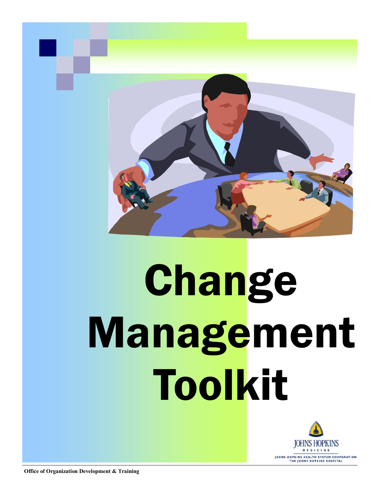

# **Change** Management Toolkit



**Office of Organization Development & Training**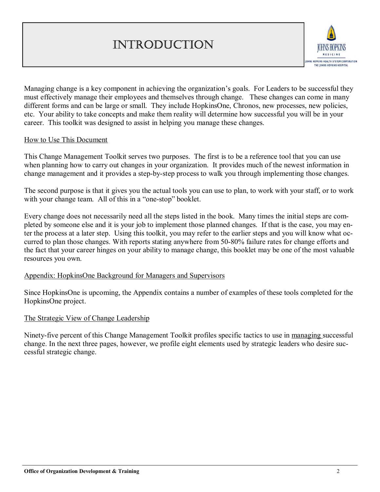# INTRODUCTION



Managing change is a key component in achieving the organization's goals. For Leaders to be successful they must effectively manage their employees and themselves through change. These changes can come in many different forms and can be large or small. They include HopkinsOne, Chronos, new processes, new policies, etc. Your ability to take concepts and make them reality will determine how successful you will be in your career. This toolkit was designed to assist in helping you manage these changes.

## How to Use This Document

This Change Management Toolkit serves two purposes. The first is to be a reference tool that you can use when planning how to carry out changes in your organization. It provides much of the newest information in change management and it provides a step-by-step process to walk you through implementing those changes.

The second purpose is that it gives you the actual tools you can use to plan, to work with your staff, or to work with your change team. All of this in a "one-stop" booklet.

Every change does not necessarily need all the steps listed in the book. Many times the initial steps are completed by someone else and it is your job to implement those planned changes. If that is the case, you may enter the process at a later step. Using this toolkit, you may refer to the earlier steps and you will know what occurred to plan those changes. With reports stating anywhere from 50-80% failure rates for change efforts and the fact that your career hinges on your ability to manage change, this booklet may be one of the most valuable resources you own.

## Appendix: HopkinsOne Background for Managers and Supervisors

Since HopkinsOne is upcoming, the Appendix contains a number of examples of these tools completed for the HopkinsOne project.

## The Strategic View of Change Leadership

Ninety-five percent of this Change Management Toolkit profiles specific tactics to use in managing successful change. In the next three pages, however, we profile eight elements used by strategic leaders who desire successful strategic change.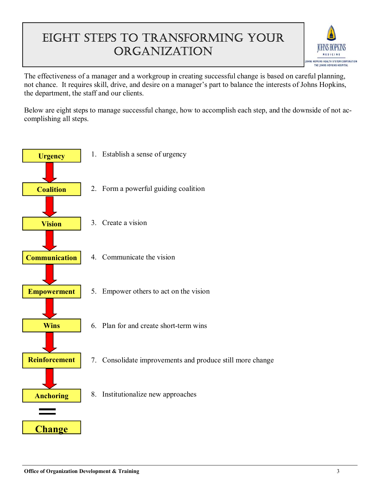# EIGHT STEPS TO TRANSFORMING YOUR ORGANIZATION



The effectiveness of a manager and a workgroup in creating successful change is based on careful planning, not chance. It requires skill, drive, and desire on a manager's part to balance the interests of Johns Hopkins, the department, the staff and our clients.

Below are eight steps to manage successful change, how to accomplish each step, and the downside of not accomplishing all steps.

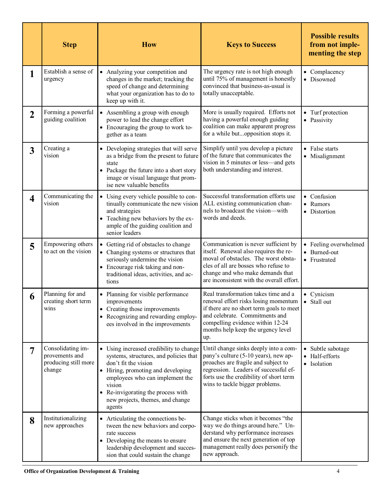|                         | <b>Step</b>                                                           | <b>How</b>                                                                                                                                                                                                                                                                       | <b>Keys to Success</b>                                                                                                                                                                                                                         | <b>Possible results</b><br>from not imple-<br>menting the step |  |
|-------------------------|-----------------------------------------------------------------------|----------------------------------------------------------------------------------------------------------------------------------------------------------------------------------------------------------------------------------------------------------------------------------|------------------------------------------------------------------------------------------------------------------------------------------------------------------------------------------------------------------------------------------------|----------------------------------------------------------------|--|
| 1                       | Establish a sense of<br>urgency                                       | • Analyzing your competition and<br>changes in the market; tracking the<br>speed of change and determining<br>what your organization has to do to<br>keep up with it.                                                                                                            | The urgency rate is not high enough<br>until 75% of management is honestly<br>convinced that business-as-usual is<br>totally unacceptable.                                                                                                     | • Complacency<br>• Disowned                                    |  |
| $\overline{2}$          | Forming a powerful<br>guiding coalition                               | • Assembling a group with enough<br>power to lead the change effort<br>• Encouraging the group to work to-<br>gether as a team                                                                                                                                                   | More is usually required. Efforts not<br>having a powerful enough guiding<br>coalition can make apparent progress<br>for a while butopposition stops it.                                                                                       | • Turf protection<br>• Passivity                               |  |
| $\mathbf{3}$            | Creating a<br>vision                                                  | • Developing strategies that will serve<br>as a bridge from the present to future<br>state<br>• Package the future into a short story<br>image or visual language that prom-<br>ise new valuable benefits                                                                        | Simplify until you develop a picture<br>of the future that communicates the<br>vision in 5 minutes or less—and gets<br>both understanding and interest.                                                                                        | • False starts<br>• Misalignment                               |  |
| $\overline{\mathbf{4}}$ | Communicating the<br>vision                                           | • Using every vehicle possible to con-<br>tinually communicate the new vision<br>and strategies<br>• Teaching new behaviors by the ex-<br>ample of the guiding coalition and<br>senior leaders                                                                                   | Successful transformation efforts use<br>ALL existing communication chan-<br>nels to broadcast the vision-with<br>words and deeds.                                                                                                             | • Confusion<br>• Rumors<br>• Distortion                        |  |
| 5                       | Empowering others<br>to act on the vision                             | • Getting rid of obstacles to change<br>• Changing systems or structures that<br>seriously undermine the vision<br>• Encourage risk taking and non-<br>traditional ideas, activities, and ac-<br>tions                                                                           | Communication is never sufficient by<br>itself. Renewal also requires the re-<br>moval of obstacles. The worst obsta-<br>cles of all are bosses who refuse to<br>change and who make demands that<br>are inconsistent with the overall effort. | • Feeling overwhelmed<br>• Burned-out<br>• Frustrated          |  |
| 6                       | Planning for and<br>creating short term<br>wins                       | • Planning for visible performance<br>improvements<br>• Creating those improvements<br>• Recognizing and rewarding employ-<br>ees involved in the improvements                                                                                                                   | Real transformation takes time and a<br>renewal effort risks losing momentum<br>if there are no short term goals to meet<br>and celebrate. Commitments and<br>compelling evidence within 12-24<br>months help keep the urgency level<br>up.    | $\bullet$ Cynicism<br>• Stall out                              |  |
| 7                       | Consolidating im-<br>provements and<br>producing still more<br>change | • Using increased credibility to change<br>systems, structures, and policies that<br>don't fit the vision<br>• Hiring, promoting and developing<br>employees who can implement the<br>vision<br>• Re-invigorating the process with<br>new projects, themes, and change<br>agents | Until change sinks deeply into a com-<br>pany's culture (5-10 years), new ap-<br>proaches are fragile and subject to<br>regression. Leaders of successful ef-<br>forts use the credibility of short term<br>wins to tackle bigger problems.    | • Subtle sabotage<br>• Half-efforts<br>• Isolation             |  |
| 8                       | Institutionalizing<br>new approaches                                  | • Articulating the connections be-<br>tween the new behaviors and corpo-<br>rate success<br>• Developing the means to ensure<br>leadership development and succes-<br>sion that could sustain the change                                                                         | Change sticks when it becomes "the<br>way we do things around here." Un-<br>derstand why performance increases<br>and ensure the next generation of top<br>management really does personify the<br>new approach.                               |                                                                |  |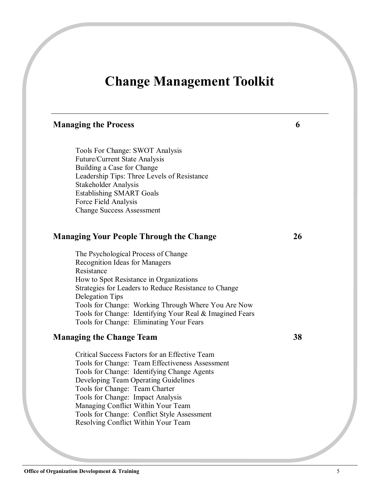## **Change Management Toolkit**

## **Managing the Process**

 Tools For Change: SWOT Analysis Future/Current State Analysis Building a Case for Change Leadership Tips: Three Levels of Resistance Stakeholder Analysis Establishing SMART Goals Force Field Analysis Change Success Assessment

## **Managing Your People Through the Change**

The Psychological Process of Change Recognition Ideas for Managers Resistance How to Spot Resistance in Organizations Strategies for Leaders to Reduce Resistance to Change Delegation Tips Tools for Change: Working Through Where You Are Now Tools for Change: Identifying Your Real & Imagined Fears Tools for Change: Eliminating Your Fears

### **Managing the Change Team**

Critical Success Factors for an Effective Team Tools for Change: Team Effectiveness Assessment Tools for Change: Identifying Change Agents Developing Team Operating Guidelines Tools for Change: Team Charter Tools for Change: Impact Analysis Managing Conflict Within Your Team Tools for Change: Conflict Style Assessment Resolving Conflict Within Your Team

**38** 

**26** 

**6**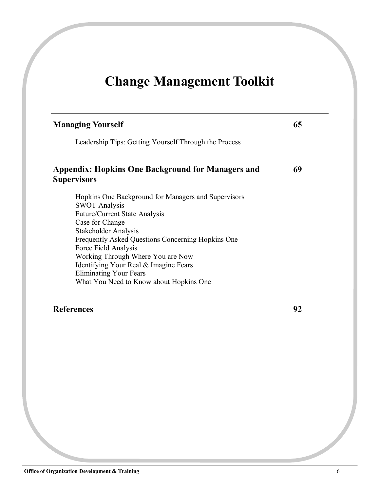# **Change Management Toolkit**

| <b>Managing Yourself</b>                                                                                                                                                                                                                                                                                                                                                                              | 65 |
|-------------------------------------------------------------------------------------------------------------------------------------------------------------------------------------------------------------------------------------------------------------------------------------------------------------------------------------------------------------------------------------------------------|----|
| Leadership Tips: Getting Yourself Through the Process                                                                                                                                                                                                                                                                                                                                                 |    |
| <b>Appendix: Hopkins One Background for Managers and</b><br><b>Supervisors</b>                                                                                                                                                                                                                                                                                                                        | 69 |
| Hopkins One Background for Managers and Supervisors<br><b>SWOT Analysis</b><br><b>Future/Current State Analysis</b><br>Case for Change<br>Stakeholder Analysis<br>Frequently Asked Questions Concerning Hopkins One<br>Force Field Analysis<br>Working Through Where You are Now<br>Identifying Your Real & Imagine Fears<br><b>Eliminating Your Fears</b><br>What You Need to Know about Hopkins One |    |

## **References 92**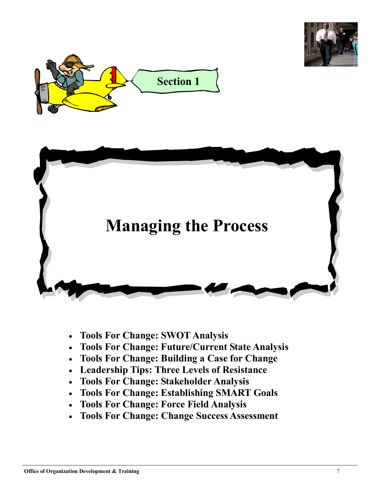





- **Tools For Change: SWOT Analysis**
- **Tools For Change: Future/Current State Analysis**
- **Tools For Change: Building a Case for Change**
- **Leadership Tips: Three Levels of Resistance**
- **Tools For Change: Stakeholder Analysis**
- **Tools For Change: Establishing SMART Goals**
- **Tools For Change: Force Field Analysis**
- **Tools For Change: Change Success Assessment**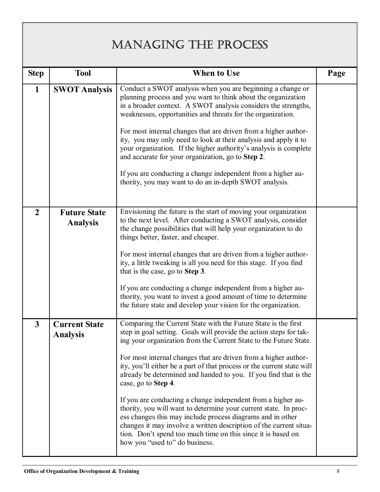# MANAGING THE PROCESS

| <b>Step</b>             | <b>Tool</b>                             | <b>When to Use</b>                                                                                                                                                                                                                                                                                                                                                                                                                                                                                                                                                                                                                                                                                                                                                                                                          | Page |
|-------------------------|-----------------------------------------|-----------------------------------------------------------------------------------------------------------------------------------------------------------------------------------------------------------------------------------------------------------------------------------------------------------------------------------------------------------------------------------------------------------------------------------------------------------------------------------------------------------------------------------------------------------------------------------------------------------------------------------------------------------------------------------------------------------------------------------------------------------------------------------------------------------------------------|------|
| $\mathbf{1}$            | <b>SWOT Analysis</b>                    | Conduct a SWOT analysis when you are beginning a change or<br>planning process and you want to think about the organization<br>in a broader context. A SWOT analysis considers the strengths,<br>weaknesses, opportunities and threats for the organization.<br>For most internal changes that are driven from a higher author-<br>ity, you may only need to look at their analysis and apply it to<br>your organization. If the higher authority's analysis is complete<br>and accurate for your organization, go to Step 2.<br>If you are conducting a change independent from a higher au-<br>thority, you may want to do an in-depth SWOT analysis.                                                                                                                                                                     |      |
| $\overline{2}$          | <b>Future State</b><br><b>Analysis</b>  | Envisioning the future is the start of moving your organization<br>to the next level. After conducting a SWOT analysis, consider<br>the change possibilities that will help your organization to do<br>things better, faster, and cheaper.<br>For most internal changes that are driven from a higher author-<br>ity, a little tweaking is all you need for this stage. If you find<br>that is the case, go to Step 3.<br>If you are conducting a change independent from a higher au-<br>thority, you want to invest a good amount of time to determine<br>the future state and develop your vision for the organization.                                                                                                                                                                                                  |      |
| $\overline{\mathbf{3}}$ | <b>Current State</b><br><b>Analysis</b> | Comparing the Current State with the Future State is the first<br>step in goal setting. Goals will provide the action steps for tak-<br>ing your organization from the Current State to the Future State.<br>For most internal changes that are driven from a higher author-<br>ity, you'll either be a part of that process or the current state will<br>already be determined and handed to you. If you find that is the<br>case, go to Step 4.<br>If you are conducting a change independent from a higher au-<br>thority, you will want to determine your current state. In proc-<br>ess changes this may include process diagrams and in other<br>changes it may involve a written description of the current situa-<br>tion. Don't spend too much time on this since it is based on<br>how you "used to" do business. |      |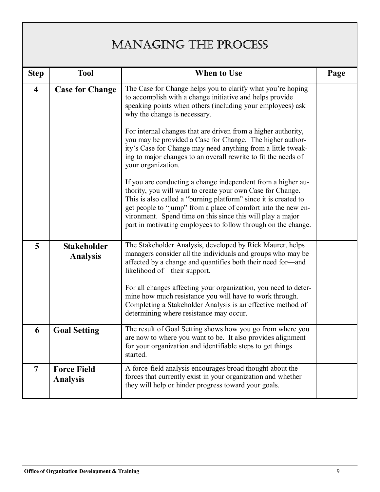# MANAGING THE PROCESS

| <b>Step</b>             | <b>Tool</b>                           | <b>When to Use</b>                                                                                                                                                                                                                                                                                                                                                                                                                                                                                                                                                                                                                                                                                                                                                                                                                                                                                           | Page |
|-------------------------|---------------------------------------|--------------------------------------------------------------------------------------------------------------------------------------------------------------------------------------------------------------------------------------------------------------------------------------------------------------------------------------------------------------------------------------------------------------------------------------------------------------------------------------------------------------------------------------------------------------------------------------------------------------------------------------------------------------------------------------------------------------------------------------------------------------------------------------------------------------------------------------------------------------------------------------------------------------|------|
| $\overline{\mathbf{4}}$ | <b>Case for Change</b>                | The Case for Change helps you to clarify what you're hoping<br>to accomplish with a change initiative and helps provide<br>speaking points when others (including your employees) ask<br>why the change is necessary.<br>For internal changes that are driven from a higher authority,<br>you may be provided a Case for Change. The higher author-<br>ity's Case for Change may need anything from a little tweak-<br>ing to major changes to an overall rewrite to fit the needs of<br>your organization.<br>If you are conducting a change independent from a higher au-<br>thority, you will want to create your own Case for Change.<br>This is also called a "burning platform" since it is created to<br>get people to "jump" from a place of comfort into the new en-<br>vironment. Spend time on this since this will play a major<br>part in motivating employees to follow through on the change. |      |
| 5                       | <b>Stakeholder</b><br><b>Analysis</b> | The Stakeholder Analysis, developed by Rick Maurer, helps<br>managers consider all the individuals and groups who may be<br>affected by a change and quantifies both their need for-and<br>likelihood of—their support.<br>For all changes affecting your organization, you need to deter-<br>mine how much resistance you will have to work through.<br>Completing a Stakeholder Analysis is an effective method of<br>determining where resistance may occur.                                                                                                                                                                                                                                                                                                                                                                                                                                              |      |
| 6                       | <b>Goal Setting</b>                   | The result of Goal Setting shows how you go from where you<br>are now to where you want to be. It also provides alignment<br>for your organization and identifiable steps to get things<br>started.                                                                                                                                                                                                                                                                                                                                                                                                                                                                                                                                                                                                                                                                                                          |      |
| 7                       | <b>Force Field</b><br><b>Analysis</b> | A force-field analysis encourages broad thought about the<br>forces that currently exist in your organization and whether<br>they will help or hinder progress toward your goals.                                                                                                                                                                                                                                                                                                                                                                                                                                                                                                                                                                                                                                                                                                                            |      |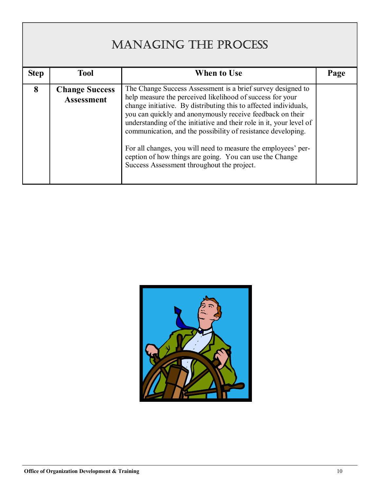# MANAGING THE PROCESS

| <b>Step</b> | <b>Tool</b>                                | <b>When to Use</b>                                                                                                                                                                                                                                                                                                                                                                                                                                                                                                                                                         | Page |
|-------------|--------------------------------------------|----------------------------------------------------------------------------------------------------------------------------------------------------------------------------------------------------------------------------------------------------------------------------------------------------------------------------------------------------------------------------------------------------------------------------------------------------------------------------------------------------------------------------------------------------------------------------|------|
| 8           | <b>Change Success</b><br><b>Assessment</b> | The Change Success Assessment is a brief survey designed to<br>help measure the perceived likelihood of success for your<br>change initiative. By distributing this to affected individuals,<br>you can quickly and anonymously receive feedback on their<br>understanding of the initiative and their role in it, your level of<br>communication, and the possibility of resistance developing.<br>For all changes, you will need to measure the employees' per-<br>ception of how things are going. You can use the Change<br>Success Assessment throughout the project. |      |

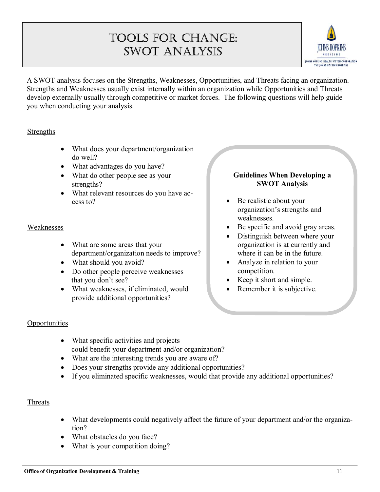# TOOLS FOR CHANGE: SWOT ANALYSIS



A SWOT analysis focuses on the Strengths, Weaknesses, Opportunities, and Threats facing an organization. Strengths and Weaknesses usually exist internally within an organization while Opportunities and Threats develop externally usually through competitive or market forces. The following questions will help guide you when conducting your analysis.

## Strengths

- What does your department/organization do well?
- What advantages do you have?
- What do other people see as your strengths?
- What relevant resources do you have access to?

## Weaknesses

- What are some areas that your department/organization needs to improve?
- What should you avoid?
- Do other people perceive weaknesses that you don't see?
- What weaknesses, if eliminated, would provide additional opportunities?

## **Guidelines When Developing a SWOT Analysis**

- Be realistic about your organization's strengths and weaknesses.
- Be specific and avoid gray areas.
- Distinguish between where your organization is at currently and where it can be in the future.
- Analyze in relation to your competition.
- Keep it short and simple.
- Remember it is subjective.

## **Opportunities**

- What specific activities and projects could benefit your department and/or organization?
- What are the interesting trends you are aware of?
- Does your strengths provide any additional opportunities?
- If you eliminated specific weaknesses, would that provide any additional opportunities?

## **Threats**

- What developments could negatively affect the future of your department and/or the organization?
- What obstacles do you face?
- What is your competition doing?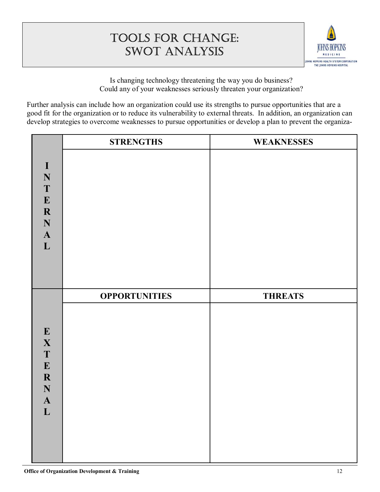# TOOLS FOR CHANGE: SWOT ANALYSIS



Is changing technology threatening the way you do business? Could any of your weaknesses seriously threaten your organization?

Further analysis can include how an organization could use its strengths to pursue opportunities that are a good fit for the organization or to reduce its vulnerability to external threats. In addition, an organization can develop strategies to overcome weaknesses to pursue opportunities or develop a plan to prevent the organiza-

|                                                                                                                   | <b>STRENGTHS</b>     | <b>WEAKNESSES</b> |
|-------------------------------------------------------------------------------------------------------------------|----------------------|-------------------|
| $\mathbf I$<br>$\mathbf N$<br>$\mathbf T$<br>${\bf E}$<br>${\bf R}$<br>$\mathbf N$<br>$\mathbf{A}$<br>$\mathbf L$ |                      |                   |
|                                                                                                                   | <b>OPPORTUNITIES</b> | <b>THREATS</b>    |
| ${\bf E}$<br>$\mathbf{X}$<br>$\mathbf T$<br>${\bf E}$<br>$\mathbf R$<br>${\bf N}$<br>$\mathbf{A}$<br>L            |                      |                   |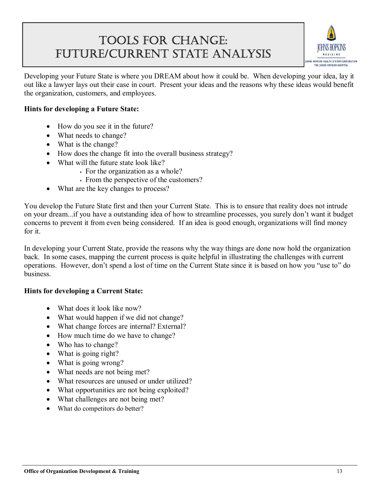# TOOLS FOR CHANGE: FUTURE/CURRENT STATE ANALYSIS



Developing your Future State is where you DREAM about how it could be. When developing your idea, lay it out like a lawyer lays out their case in court. Present your ideas and the reasons why these ideas would benefit the organization, customers, and employees.

## **Hints for developing a Future State:**

- How do you see it in the future?
- What needs to change?
- What is the change?
- How does the change fit into the overall business strategy?
- What will the future state look like?
	- ! For the organization as a whole?
	- ! From the perspective of the customers?
- What are the key changes to process?

You develop the Future State first and then your Current State. This is to ensure that reality does not intrude on your dream...if you have a outstanding idea of how to streamline processes, you surely don't want it budget concerns to prevent it from even being considered. If an idea is good enough, organizations will find money for it.

In developing your Current State, provide the reasons why the way things are done now hold the organization back. In some cases, mapping the current process is quite helpful in illustrating the challenges with current operations. However, don't spend a lost of time on the Current State since it is based on how you "use to" do business.

## **Hints for developing a Current State:**

- What does it look like now?
- What would happen if we did not change?
- What change forces are internal? External?
- How much time do we have to change?
- Who has to change?
- What is going right?
- What is going wrong?
- What needs are not being met?
- What resources are unused or under utilized?
- What opportunities are not being exploited?
- What challenges are not being met?
- What do competitors do better?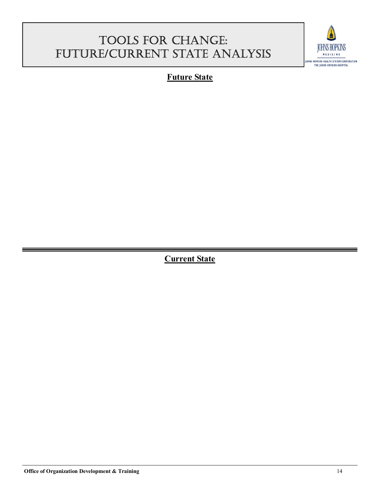# TOOLS FOR CHANGE: FUTURE/CURRENT STATE ANALYSIS



**Future State**

**Current State**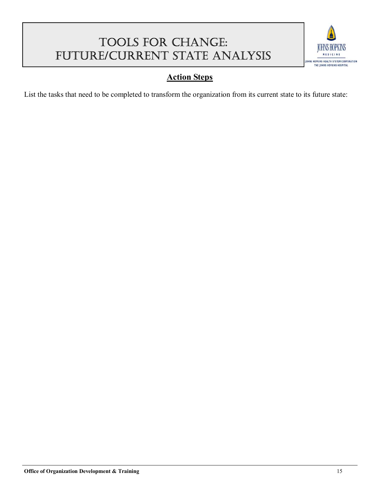# TOOLS FOR CHANGE: FUTURE/CURRENT STATE ANALYSIS



## **Action Steps**

List the tasks that need to be completed to transform the organization from its current state to its future state: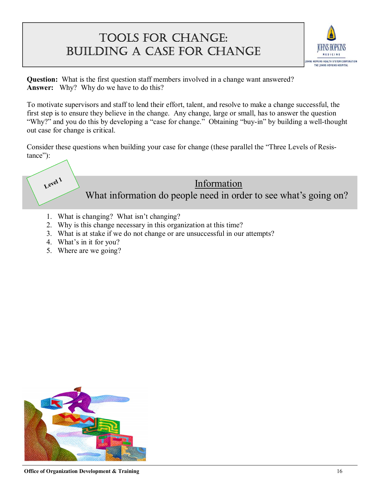# TOOLS FOR CHANGE: BUILDING A CASE FOR CHANGE



**Question:** What is the first question staff members involved in a change want answered? **Answer:** Why? Why do we have to do this?

To motivate supervisors and staff to lend their effort, talent, and resolve to make a change successful, the first step is to ensure they believe in the change. Any change, large or small, has to answer the question "Why?" and you do this by developing a "case for change." Obtaining "buy-in" by building a well-thought out case for change is critical.

Consider these questions when building your case for change (these parallel the "Three Levels of Resistance":



- 1. What is changing? What isn't changing?
- 2. Why is this change necessary in this organization at this time?
- 3. What is at stake if we do not change or are unsuccessful in our attempts?
- 4. What's in it for you?
- 5. Where are we going?

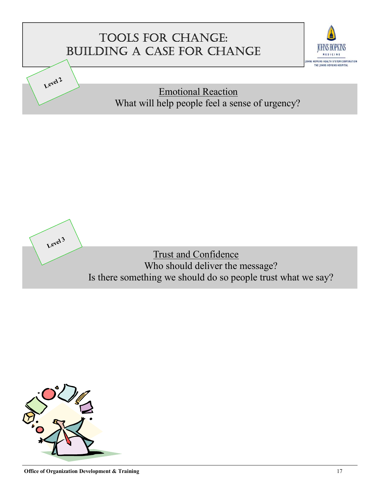# TOOLS FOR CHANGE: BUILDING A CASE FOR CHANGE



 Emotional Reaction What will help people feel a sense of urgency?



**Level <sup>2</sup>**

 Trust and Confidence Who should deliver the message? Is there something we should do so people trust what we say?

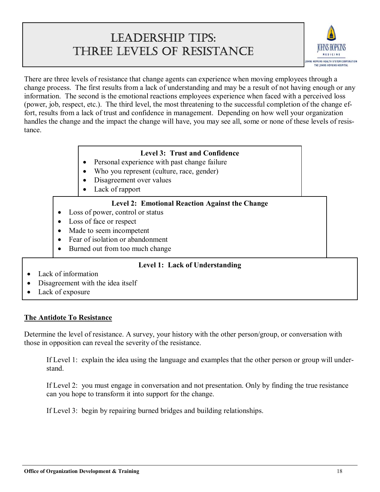# LEADERSHIP TIPS: THREE LEVELS OF RESISTANCE



There are three levels of resistance that change agents can experience when moving employees through a change process. The first results from a lack of understanding and may be a result of not having enough or any information. The second is the emotional reactions employees experience when faced with a perceived loss (power, job, respect, etc.). The third level, the most threatening to the successful completion of the change effort, results from a lack of trust and confidence in management. Depending on how well your organization handles the change and the impact the change will have, you may see all, some or none of these levels of resistance.

## **Level 3: Trust and Confidence**

- Personal experience with past change failure
- Who you represent (culture, race, gender)
- Disagreement over values
- Lack of rapport

## **Level 2: Emotional Reaction Against the Change**

- Loss of power, control or status
- Loss of face or respect
- Made to seem incompetent
- Fear of isolation or abandonment
- Burned out from too much change

## **Level 1: Lack of Understanding**

- Lack of information
- Disagreement with the idea itself
- Lack of exposure

## **The Antidote To Resistance**

Determine the level of resistance. A survey, your history with the other person/group, or conversation with those in opposition can reveal the severity of the resistance.

If Level 1: explain the idea using the language and examples that the other person or group will understand.

If Level 2: you must engage in conversation and not presentation. Only by finding the true resistance can you hope to transform it into support for the change.

If Level 3: begin by repairing burned bridges and building relationships.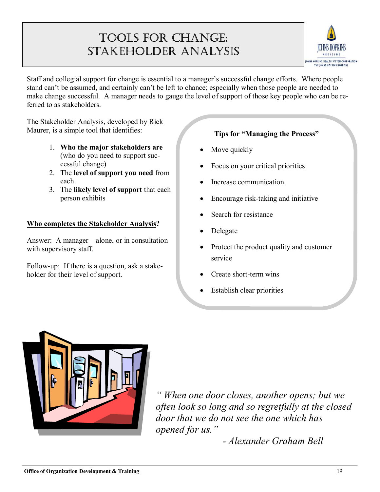# TOOLS FOR CHANGE: STAKEHOLDER ANALYSIS



Staff and collegial support for change is essential to a manager's successful change efforts. Where people stand can't be assumed, and certainly can't be left to chance; especially when those people are needed to make change successful. A manager needs to gauge the level of support of those key people who can be referred to as stakeholders.

The Stakeholder Analysis, developed by Rick Maurer, is a simple tool that identifies:

- 1. **Who the major stakeholders are**  (who do you need to support successful change)
- 2. The **level of support you need** from each
- 3. The **likely level of support** that each person exhibits

## **Who completes the Stakeholder Analysis?**

Answer: A manager—alone, or in consultation with supervisory staff.

Follow-up: If there is a question, ask a stakeholder for their level of support.

## **Tips for "Managing the Process"**

- Move quickly
- Focus on your critical priorities
- Increase communication
- Encourage risk-taking and initiative
- Search for resistance
- Delegate
- Protect the product quality and customer service
- Create short-term wins
- Establish clear priorities



*ì When one door closes, another opens; but we often look so long and so regretfully at the closed door that we do not see the one which has opened for us.*"

 *- Alexander Graham Bell*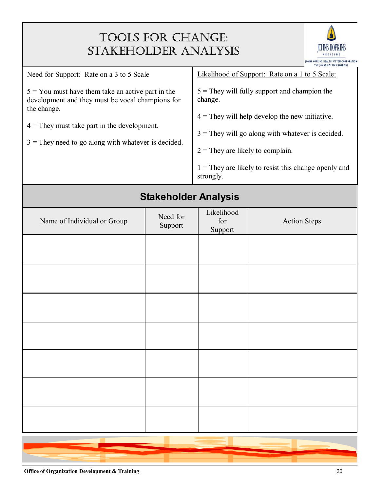# TOOLS FOR CHANGE: STAKEHOLDER ANALYSIS



| Need for Support: Rate on a 3 to 5 Scale                                                                               | Likelihood of Support: Rate on a 1 to 5 Scale:                      |
|------------------------------------------------------------------------------------------------------------------------|---------------------------------------------------------------------|
| $5 =$ You must have them take an active part in the<br>development and they must be vocal champions for<br>the change. | $5 =$ They will fully support and champion the<br>change.           |
|                                                                                                                        | $4 =$ They will help develop the new initiative.                    |
| $4 =$ They must take part in the development.                                                                          | $3$ = They will go along with whatever is decided.                  |
| $3$ = They need to go along with whatever is decided.                                                                  | $2 =$ They are likely to complain.                                  |
|                                                                                                                        |                                                                     |
|                                                                                                                        | $1 =$ They are likely to resist this change openly and<br>strongly. |

## **Stakeholder Analysis**

| Name of Individual or Group | Need for<br>Support | Likelihood<br>for<br>Support | <b>Action Steps</b> |
|-----------------------------|---------------------|------------------------------|---------------------|
|                             |                     |                              |                     |
|                             |                     |                              |                     |
|                             |                     |                              |                     |
|                             |                     |                              |                     |
|                             |                     |                              |                     |
|                             |                     |                              |                     |
|                             |                     |                              |                     |

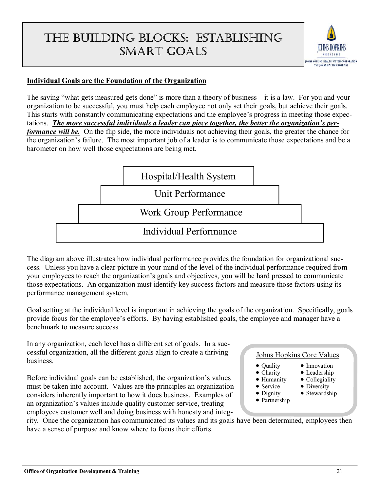# THE BUILDING BLOCKS: ESTABLISHING SMART GOALS



## **Individual Goals are the Foundation of the Organization**

The saying "what gets measured gets done" is more than a theory of business—it is a law. For you and your organization to be successful, you must help each employee not only set their goals, but achieve their goals. This starts with constantly communicating expectations and the employee's progress in meeting those expectations. The more successful individuals a leader can piece together, the better the organization's per*formance will be.* On the flip side, the more individuals not achieving their goals, the greater the chance for the organization's failure. The most important job of a leader is to communicate those expectations and be a barometer on how well those expectations are being met.



The diagram above illustrates how individual performance provides the foundation for organizational success. Unless you have a clear picture in your mind of the level of the individual performance required from your employees to reach the organization's goals and objectives, you will be hard pressed to communicate those expectations. An organization must identify key success factors and measure those factors using its performance management system.

Goal setting at the individual level is important in achieving the goals of the organization. Specifically, goals provide focus for the employee's efforts. By having established goals, the employee and manager have a benchmark to measure success.

In any organization, each level has a different set of goals. In a successful organization, all the different goals align to create a thriving business.

Before individual goals can be established, the organization's values must be taken into account. Values are the principles an organization considers inherently important to how it does business. Examples of an organization's values include quality customer service, treating employees customer well and doing business with honesty and integ-

rity. Once the organization has communicated its values and its goals have been determined, employees then have a sense of purpose and know where to focus their efforts.

#### Johns Hopkins Core Values

- Quality
- Charity
- Humanity • Service
	-
- Dignity
- Diversity • Stewardship

• Innovation • Leadership • Collegiality

• Partnership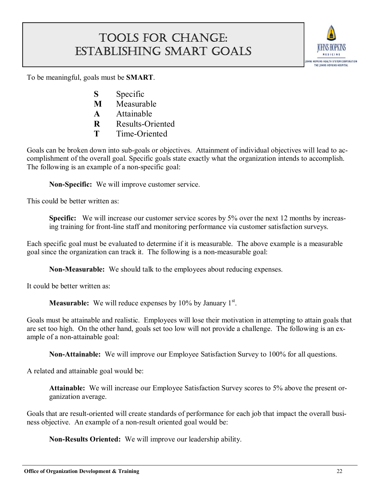# TOOLS FOR CHANGE: ESTABLISHING SMART GOALS



To be meaningful, goals must be **SMART**.

- **S** Specific
- **M** Measurable
- **A** Attainable
- **R** Results-Oriented
- **T** Time-Oriented

Goals can be broken down into sub-goals or objectives. Attainment of individual objectives will lead to accomplishment of the overall goal. Specific goals state exactly what the organization intends to accomplish. The following is an example of a non-specific goal:

**Non-Specific:** We will improve customer service.

This could be better written as:

**Specific:** We will increase our customer service scores by 5% over the next 12 months by increasing training for front-line staff and monitoring performance via customer satisfaction surveys.

Each specific goal must be evaluated to determine if it is measurable. The above example is a measurable goal since the organization can track it. The following is a non-measurable goal:

**Non-Measurable:** We should talk to the employees about reducing expenses.

It could be better written as:

**Measurable:** We will reduce expenses by  $10\%$  by January  $1<sup>st</sup>$ .

Goals must be attainable and realistic. Employees will lose their motivation in attempting to attain goals that are set too high. On the other hand, goals set too low will not provide a challenge. The following is an example of a non-attainable goal:

**Non-Attainable:** We will improve our Employee Satisfaction Survey to 100% for all questions.

A related and attainable goal would be:

**Attainable:** We will increase our Employee Satisfaction Survey scores to 5% above the present organization average.

Goals that are result-oriented will create standards of performance for each job that impact the overall business objective. An example of a non-result oriented goal would be:

**Non-Results Oriented:** We will improve our leadership ability.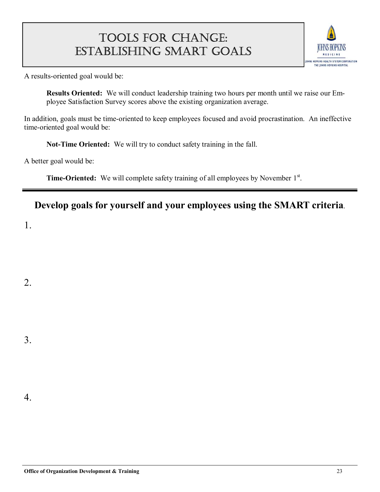# TOOLS FOR CHANGE: ESTABLISHING SMART GOALS



A results-oriented goal would be:

**Results Oriented:** We will conduct leadership training two hours per month until we raise our Employee Satisfaction Survey scores above the existing organization average.

In addition, goals must be time-oriented to keep employees focused and avoid procrastination. An ineffective time-oriented goal would be:

**Not-Time Oriented:** We will try to conduct safety training in the fall.

A better goal would be:

**Time-Oriented:** We will complete safety training of all employees by November 1<sup>st</sup>.

**Develop goals for yourself and your employees using the SMART criteria**.

1.

2.

3.

4.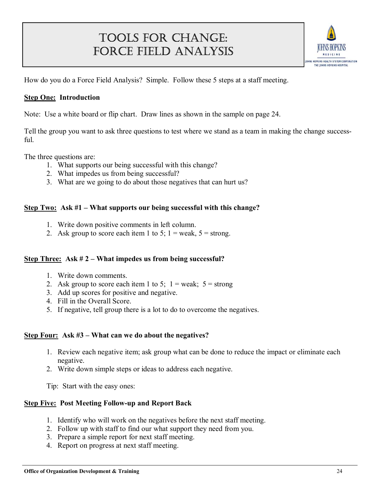# TOOLS FOR CHANGE: FORCE FIELD ANALYSIS



How do you do a Force Field Analysis? Simple. Follow these 5 steps at a staff meeting.

## **Step One: Introduction**

Note: Use a white board or flip chart. Draw lines as shown in the sample on page 24.

Tell the group you want to ask three questions to test where we stand as a team in making the change successful.

The three questions are:

- 1. What supports our being successful with this change?
- 2. What impedes us from being successful?
- 3. What are we going to do about those negatives that can hurt us?

## **<u>Step Two:</u> Ask #1 – What supports our being successful with this change?**

- 1. Write down positive comments in left column.
- 2. Ask group to score each item 1 to 5;  $1 =$  weak,  $5 =$  strong.

#### **<u>Step Three:</u> Ask # 2 – What impedes us from being successful?**

- 1. Write down comments.
- 2. Ask group to score each item 1 to 5;  $1 =$  weak;  $5 =$  strong
- 3. Add up scores for positive and negative.
- 4. Fill in the Overall Score.
- 5. If negative, tell group there is a lot to do to overcome the negatives.

#### Step Four: Ask #3 – What can we do about the negatives?

- 1. Review each negative item; ask group what can be done to reduce the impact or eliminate each negative.
- 2. Write down simple steps or ideas to address each negative.

Tip: Start with the easy ones:

## **Step Five: Post Meeting Follow-up and Report Back**

- 1. Identify who will work on the negatives before the next staff meeting.
- 2. Follow up with staff to find our what support they need from you.
- 3. Prepare a simple report for next staff meeting.
- 4. Report on progress at next staff meeting.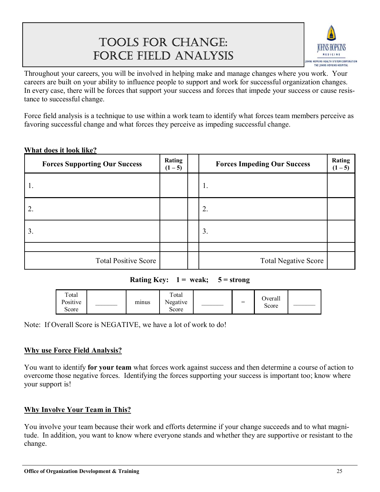# TOOLS FOR CHANGE: FORCE FIELD ANALYSIS



Throughout your careers, you will be involved in helping make and manage changes where you work. Your careers are built on your ability to influence people to support and work for successful organization changes. In every case, there will be forces that support your success and forces that impede your success or cause resistance to successful change.

Force field analysis is a technique to use within a work team to identify what forces team members perceive as favoring successful change and what forces they perceive as impeding successful change.

#### **What does it look like?**

| <b>Forces Supporting Our Success</b> | Rating<br>$(1-5)$ | <b>Forces Impeding Our Success</b> | Rating<br>$(1-5)$ |
|--------------------------------------|-------------------|------------------------------------|-------------------|
| 1.                                   |                   | 1.                                 |                   |
| 2.                                   |                   | 2.                                 |                   |
| 3.                                   |                   | 3.                                 |                   |
|                                      |                   |                                    |                   |
| <b>Total Positive Score</b>          |                   | <b>Total Negative Score</b>        |                   |

## **Rating Key:**  $1 = \text{weak}; 5 = \text{strong}$

| Total<br>Positive<br>Score |  | minus | Total<br>Negative<br>Score |  | $=$ | Overall<br>Score |  |
|----------------------------|--|-------|----------------------------|--|-----|------------------|--|
|----------------------------|--|-------|----------------------------|--|-----|------------------|--|

Note: If Overall Score is NEGATIVE, we have a lot of work to do!

## **Why use Force Field Analysis?**

You want to identify **for your team** what forces work against success and then determine a course of action to overcome those negative forces. Identifying the forces supporting your success is important too; know where your support is!

## **Why Involve Your Team in This?**

You involve your team because their work and efforts determine if your change succeeds and to what magnitude. In addition, you want to know where everyone stands and whether they are supportive or resistant to the change.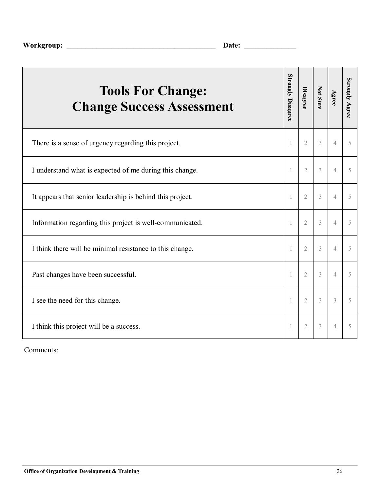| <b>Tools For Change:</b><br><b>Change Success Assessment</b> | Strongly Disagree | Disagree       | Not Sure | Agree                    | Strongly Agree |
|--------------------------------------------------------------|-------------------|----------------|----------|--------------------------|----------------|
| There is a sense of urgency regarding this project.          | 1                 | $\overline{2}$ | 3        | $\overline{4}$           | 5              |
| I understand what is expected of me during this change.      |                   | $\overline{2}$ | 3        | $\overline{4}$           | 5              |
| It appears that senior leadership is behind this project.    | 1                 | $\overline{2}$ | 3        | $\overline{\mathcal{A}}$ | 5              |
| Information regarding this project is well-communicated.     | 1                 | $\overline{2}$ | 3        | $\overline{\mathcal{A}}$ | 5              |
| I think there will be minimal resistance to this change.     | $\mathbf{1}$      | $\overline{2}$ | 3        | $\overline{\mathcal{A}}$ | 5              |
| Past changes have been successful.                           | 1                 | $\overline{2}$ | 3        | $\overline{4}$           | 5              |
| I see the need for this change.                              | 1                 | $\overline{2}$ | 3        | $\mathcal{E}$            | 5              |
| I think this project will be a success.                      | 1                 | 2              | 3        | $\overline{4}$           | 5              |

Comments: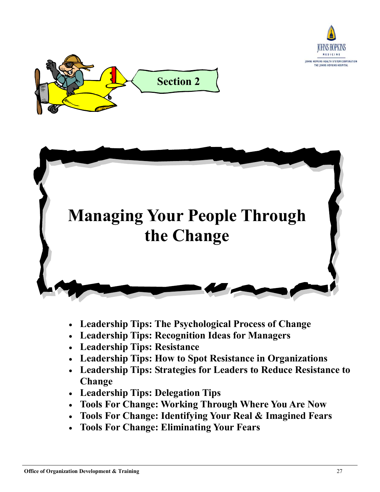





- **Leadership Tips: The Psychological Process of Change**
- **Leadership Tips: Recognition Ideas for Managers**
- **Leadership Tips: Resistance**
- **Leadership Tips: How to Spot Resistance in Organizations**
- **Leadership Tips: Strategies for Leaders to Reduce Resistance to Change**
- **Leadership Tips: Delegation Tips**
- **Tools For Change: Working Through Where You Are Now**
- **Tools For Change: Identifying Your Real & Imagined Fears**
- **Tools For Change: Eliminating Your Fears**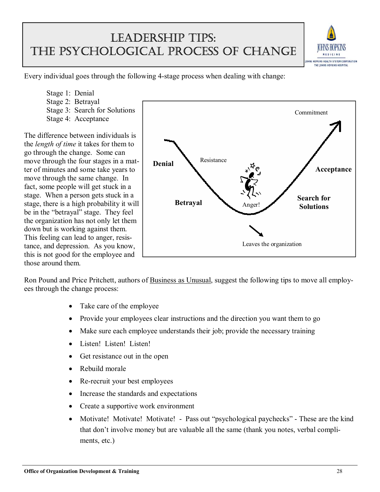# LEADERSHIP TIPS: THE PSYCHOLOGICAL PROCESS OF CHANGE



Every individual goes through the following 4-stage process when dealing with change:

Stage 1: Denial Stage 2: Betrayal Stage 3: Search for Solutions Stage 4: Acceptance

The difference between individuals is the *length of time* it takes for them to go through the change. Some can move through the four stages in a matter of minutes and some take years to move through the same change. In fact, some people will get stuck in a stage. When a person gets stuck in a stage, there is a high probability it will be in the "betrayal" stage. They feel the organization has not only let them down but is working against them. This feeling can lead to anger, resistance, and depression. As you know, this is not good for the employee and those around them.



Ron Pound and Price Pritchett, authors of Business as Unusual, suggest the following tips to move all employees through the change process:

- Take care of the employee
- Provide your employees clear instructions and the direction you want them to go
- Make sure each employee understands their job; provide the necessary training
- Listen! Listen! Listen!
- Get resistance out in the open
- Rebuild morale
- Re-recruit your best employees
- Increase the standards and expectations
- Create a supportive work environment
- Motivate! Motivate! Motivate! Pass out "psychological paychecks" These are the kind that don't involve money but are valuable all the same (thank you notes, verbal compliments, etc.)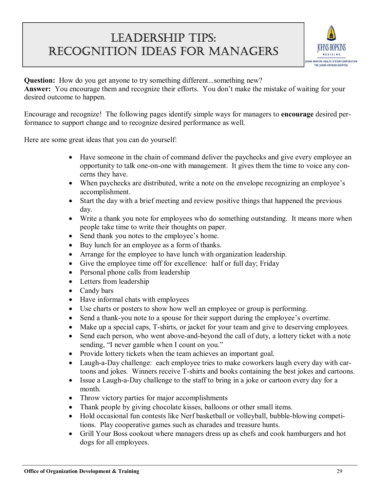# LEADERSHIP TIPS: RECOGNITION IDEAS FOR MANAGERS



**Question:** How do you get anyone to try something different...something new? Answer: You encourage them and recognize their efforts. You don't make the mistake of waiting for your desired outcome to happen.

Encourage and recognize! The following pages identify simple ways for managers to **encourage** desired performance to support change and to recognize desired performance as well.

Here are some great ideas that you can do yourself:

- Have someone in the chain of command deliver the paychecks and give every employee an opportunity to talk one-on-one with management. It gives them the time to voice any concerns they have.
- When paychecks are distributed, write a note on the envelope recognizing an employee's accomplishment.
- Start the day with a brief meeting and review positive things that happened the previous day.
- Write a thank you note for employees who do something outstanding. It means more when people take time to write their thoughts on paper.
- Send thank you notes to the employee's home.
- Buy lunch for an employee as a form of thanks.
- Arrange for the employee to have lunch with organization leadership.
- Give the employee time off for excellence: half or full day; Friday
- Personal phone calls from leadership
- Letters from leadership
- Candy bars
- Have informal chats with employees
- Use charts or posters to show how well an employee or group is performing.
- Send a thank-you note to a spouse for their support during the employee's overtime.
- Make up a special caps, T-shirts, or jacket for your team and give to deserving employees.
- Send each person, who went above-and-beyond the call of duty, a lottery ticket with a note sending, "I never gamble when I count on you."
- Provide lottery tickets when the team achieves an important goal.
- Laugh-a-Day challenge: each employee tries to make coworkers laugh every day with cartoons and jokes. Winners receive T-shirts and books containing the best jokes and cartoons.
- Issue a Laugh-a-Day challenge to the staff to bring in a joke or cartoon every day for a month.
- Throw victory parties for major accomplishments
- Thank people by giving chocolate kisses, balloons or other small items.
- Hold occasional fun contests like Nerf basketball or volleyball, bubble-blowing competitions. Play cooperative games such as charades and treasure hunts.
- Grill Your Boss cookout where managers dress up as chefs and cook hamburgers and hot dogs for all employees.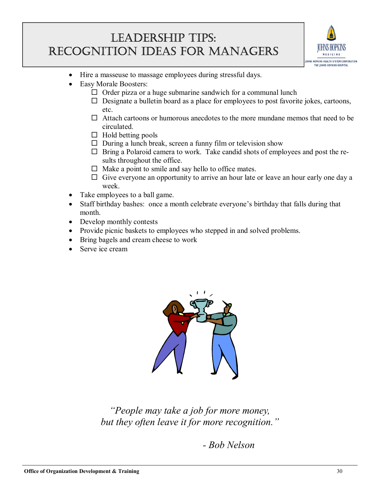# LEADERSHIP TIPS: RECOGNITION IDEAS FOR MANAGERS



- Hire a masseuse to massage employees during stressful days.
- Easy Morale Boosters:
	- $\Box$  Order pizza or a huge submarine sandwich for a communal lunch
	- $\Box$  Designate a bulletin board as a place for employees to post favorite jokes, cartoons, etc.
	- $\Box$  Attach cartoons or humorous anecdotes to the more mundane memos that need to be circulated.
	- $\Box$  Hold betting pools
	- $\Box$  During a lunch break, screen a funny film or television show
	- $\Box$  Bring a Polaroid camera to work. Take candid shots of employees and post the results throughout the office.
	- $\Box$  Make a point to smile and say hello to office mates.
	- $\Box$  Give everyone an opportunity to arrive an hour late or leave an hour early one day a week.
- Take employees to a ball game.
- Staff birthday bashes: once a month celebrate everyone's birthday that falls during that month.
- Develop monthly contests
- Provide picnic baskets to employees who stepped in and solved problems.
- Bring bagels and cream cheese to work
- Serve ice cream



*ìPeople may take a job for more money,*  but they often leave it for more recognition."

 *- Bob Nelson*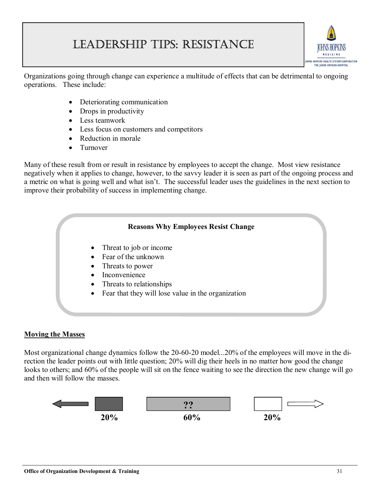# LEADERSHIP TIPS: RESISTANCE



Organizations going through change can experience a multitude of effects that can be detrimental to ongoing operations. These include:

- Deteriorating communication
- Drops in productivity
- Less teamwork
- Less focus on customers and competitors
- Reduction in morale
- Turnover

Many of these result from or result in resistance by employees to accept the change. Most view resistance negatively when it applies to change, however, to the savvy leader it is seen as part of the ongoing process and a metric on what is going well and what isn't. The successful leader uses the guidelines in the next section to improve their probability of success in implementing change.



## **Moving the Masses**

Most organizational change dynamics follow the 20-60-20 model...20% of the employees will move in the direction the leader points out with little question; 20% will dig their heels in no matter how good the change looks to others; and 60% of the people will sit on the fence waiting to see the direction the new change will go and then will follow the masses.

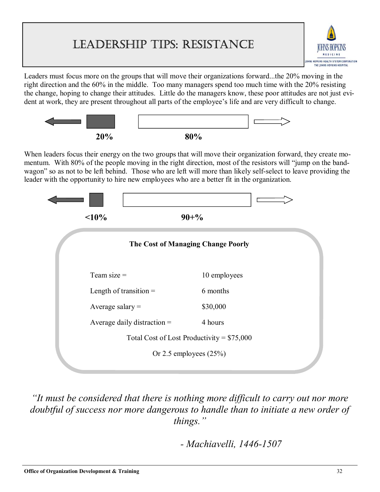# LEADERSHIP TIPS: RESISTANCE



Leaders must focus more on the groups that will move their organizations forward...the 20% moving in the right direction and the 60% in the middle. Too many managers spend too much time with the 20% resisting the change, hoping to change their attitudes. Little do the managers know, these poor attitudes are not just evident at work, they are present throughout all parts of the employee's life and are very difficult to change.



When leaders focus their energy on the two groups that will move their organization forward, they create momentum. With 80% of the people moving in the right direction, most of the resistors will "jump on the bandwagon" so as not to be left behind. Those who are left will more than likely self-select to leave providing the leader with the opportunity to hire new employees who are a better fit in the organization.

| $10\%$                        | $90 + \%$                                   |
|-------------------------------|---------------------------------------------|
|                               | The Cost of Managing Change Poorly          |
| Team size $=$                 | 10 employees                                |
| Length of transition $=$      | 6 months                                    |
| Average salary $=$            | \$30,000                                    |
| Average daily distraction $=$ | 4 hours                                     |
|                               | Total Cost of Lost Productivity = $$75,000$ |
|                               | Or 2.5 employees $(25%)$                    |

*ìIt must be considered that there is nothing more difficult to carry out nor more doubtful of success nor more dangerous to handle than to initiate a new order of things.*"

 *- Machiavelli, 1446-1507*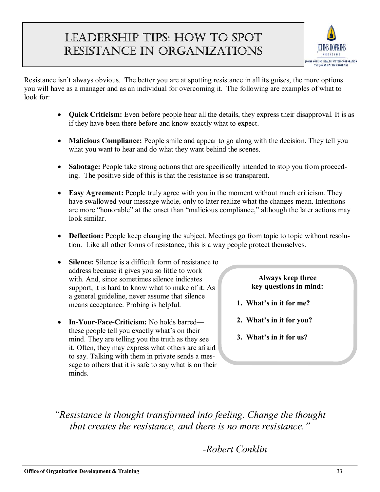# LEADERSHIP TIPS: HOW TO SPOT RESISTANCE IN ORGANIZATIONS



Resistance isn't always obvious. The better you are at spotting resistance in all its guises, the more options you will have as a manager and as an individual for overcoming it. The following are examples of what to look for:

- **Quick Criticism:** Even before people hear all the details, they express their disapproval. It is as if they have been there before and know exactly what to expect.
- **Malicious Compliance:** People smile and appear to go along with the decision. They tell you what you want to hear and do what they want behind the scenes.
- **Sabotage:** People take strong actions that are specifically intended to stop you from proceeding. The positive side of this is that the resistance is so transparent.
- **Easy Agreement:** People truly agree with you in the moment without much criticism. They have swallowed your message whole, only to later realize what the changes mean. Intentions are more "honorable" at the onset than "malicious compliance," although the later actions may look similar.
- **Deflection:** People keep changing the subject. Meetings go from topic to topic without resolution. Like all other forms of resistance, this is a way people protect themselves.
- **Silence:** Silence is a difficult form of resistance to address because it gives you so little to work with. And, since sometimes silence indicates support, it is hard to know what to make of it. As a general guideline, never assume that silence means acceptance. Probing is helpful.
- In-Your-Face-Criticism: No holds barred these people tell you exactly what's on their mind. They are telling you the truth as they see it. Often, they may express what others are afraid to say. Talking with them in private sends a message to others that it is safe to say what is on their minds.

**Always keep three key questions in mind:** 

- **1. Whatís in it for me?**
- 2. What's in it for you?
- **3. What's in it for us?**

*ìResistance is thought transformed into feeling. Change the thought that creates the resistance, and there is no more resistance.*"

 *-Robert Conklin*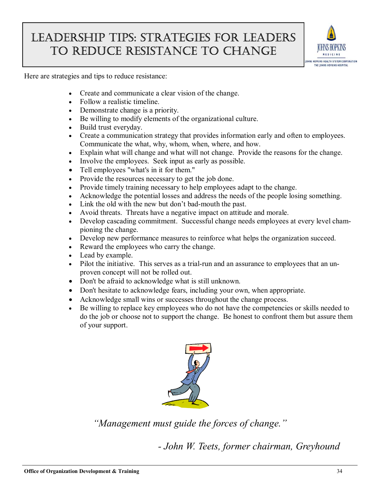# LEADERSHIP TIPS: STRATEGIES FOR LEADERS TO REDUCE RESISTANCE TO CHANGE



Here are strategies and tips to reduce resistance:

- Create and communicate a clear vision of the change.
- Follow a realistic timeline.
- Demonstrate change is a priority.
- Be willing to modify elements of the organizational culture.
- Build trust everyday.
- Create a communication strategy that provides information early and often to employees. Communicate the what, why, whom, when, where, and how.
- Explain what will change and what will not change. Provide the reasons for the change.
- Involve the employees. Seek input as early as possible.
- Tell employees "what's in it for them."
- Provide the resources necessary to get the job done.
- Provide timely training necessary to help employees adapt to the change.
- Acknowledge the potential losses and address the needs of the people losing something.
- Link the old with the new but don't bad-mouth the past.
- Avoid threats. Threats have a negative impact on attitude and morale.
- Develop cascading commitment. Successful change needs employees at every level championing the change.
- Develop new performance measures to reinforce what helps the organization succeed.
- Reward the employees who carry the change.
- Lead by example.
- Pilot the initiative. This serves as a trial-run and an assurance to employees that an unproven concept will not be rolled out.
- Don't be afraid to acknowledge what is still unknown.
- Don't hesitate to acknowledge fears, including your own, when appropriate.
- Acknowledge small wins or successes throughout the change process.
- Be willing to replace key employees who do not have the competencies or skills needed to do the job or choose not to support the change. Be honest to confront them but assure them of your support.



<sup>*'Management must guide the forces of change."</sup>* 

 *- John W. Teets, former chairman, Greyhound*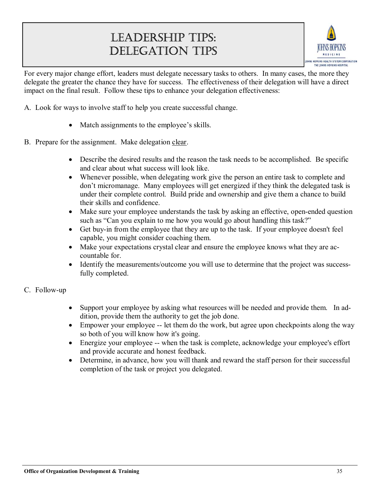# LEADERSHIP TIPS: DELEGATION TIPS



For every major change effort, leaders must delegate necessary tasks to others. In many cases, the more they delegate the greater the chance they have for success. The effectiveness of their delegation will have a direct impact on the final result. Follow these tips to enhance your delegation effectiveness:

- A. Look for ways to involve staff to help you create successful change.
	- Match assignments to the employee's skills.
- B. Prepare for the assignment. Make delegation clear.
	- Describe the desired results and the reason the task needs to be accomplished. Be specific and clear about what success will look like.
	- Whenever possible, when delegating work give the person an entire task to complete and don't micromanage. Many employees will get energized if they think the delegated task is under their complete control. Build pride and ownership and give them a chance to build their skills and confidence.
	- Make sure your employee understands the task by asking an effective, open-ended question such as "Can you explain to me how you would go about handling this task?"
	- Get buy-in from the employee that they are up to the task. If your employee doesn't feel capable, you might consider coaching them.
	- Make your expectations crystal clear and ensure the employee knows what they are accountable for.
	- Identify the measurements/outcome you will use to determine that the project was successfully completed.
- C. Follow-up
	- Support your employee by asking what resources will be needed and provide them. In addition, provide them the authority to get the job done.
	- Empower your employee -- let them do the work, but agree upon checkpoints along the way so both of you will know how it's going.
	- Energize your employee -- when the task is complete, acknowledge your employee's effort and provide accurate and honest feedback.
	- Determine, in advance, how you will thank and reward the staff person for their successful completion of the task or project you delegated.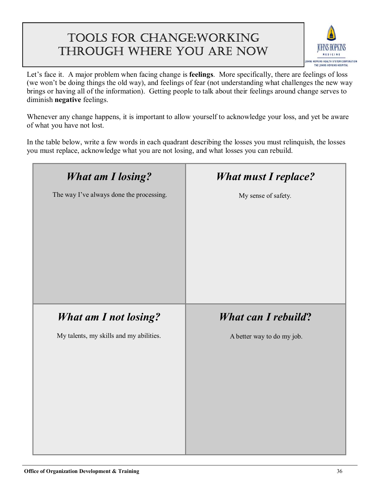# TOOLS FOR CHANGE:WORKING THROUGH WHERE YOU ARE NOW



Let's face it. A major problem when facing change is **feelings**. More specifically, there are feelings of loss (we won't be doing things the old way), and feelings of fear (not understanding what challenges the new way brings or having all of the information). Getting people to talk about their feelings around change serves to diminish **negative** feelings.

Whenever any change happens, it is important to allow yourself to acknowledge your loss, and yet be aware of what you have not lost.

In the table below, write a few words in each quadrant describing the losses you must relinquish, the losses you must replace, acknowledge what you are not losing, and what losses you can rebuild.

| <b>What am I losing?</b>                 | <b>What must I replace?</b> |
|------------------------------------------|-----------------------------|
| The way I've always done the processing. | My sense of safety.         |
| <b>What am I not losing?</b>             | <b>What can I rebuild?</b>  |
| My talents, my skills and my abilities.  | A better way to do my job.  |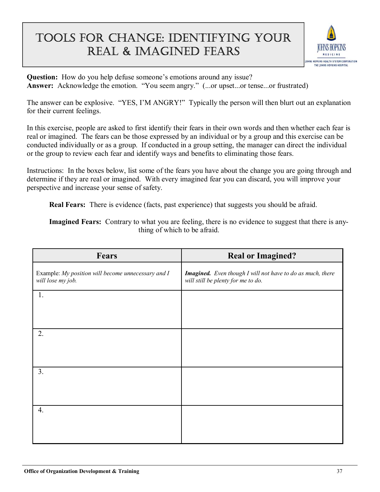### TOOLS FOR CHANGE: IDENTIFYING YOUR REAL & IMAGINED FEARS



**Question:** How do you help defuse someone's emotions around any issue? Answer: Acknowledge the emotion. "You seem angry." (...or upset...or tense...or frustrated)

The answer can be explosive. "YES, I'M ANGRY!" Typically the person will then blurt out an explanation for their current feelings.

In this exercise, people are asked to first identify their fears in their own words and then whether each fear is real or imagined. The fears can be those expressed by an individual or by a group and this exercise can be conducted individually or as a group. If conducted in a group setting, the manager can direct the individual or the group to review each fear and identify ways and benefits to eliminating those fears.

Instructions: In the boxes below, list some of the fears you have about the change you are going through and determine if they are real or imagined. With every imagined fear you can discard, you will improve your perspective and increase your sense of safety.

**Real Fears:** There is evidence (facts, past experience) that suggests you should be afraid.

**Imagined Fears:** Contrary to what you are feeling, there is no evidence to suggest that there is anything of which to be afraid.

| Fears                                                                   | <b>Real or Imagined?</b>                                                                         |
|-------------------------------------------------------------------------|--------------------------------------------------------------------------------------------------|
| Example: My position will become unnecessary and I<br>will lose my job. | Imagined. Even though I will not have to do as much, there<br>will still be plenty for me to do. |
| 1.                                                                      |                                                                                                  |
|                                                                         |                                                                                                  |
| 2.                                                                      |                                                                                                  |
|                                                                         |                                                                                                  |
| 3.                                                                      |                                                                                                  |
|                                                                         |                                                                                                  |
| 4.                                                                      |                                                                                                  |
|                                                                         |                                                                                                  |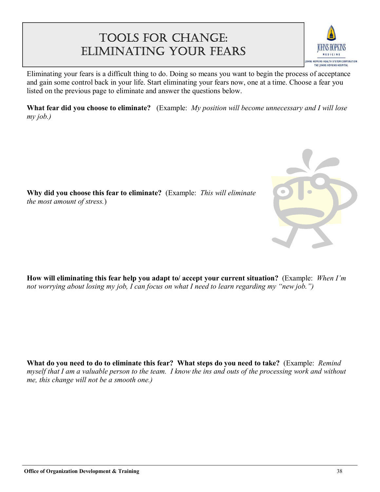### TOOLS FOR CHANGE: ELIMINATING YOUR FEARS



Eliminating your fears is a difficult thing to do. Doing so means you want to begin the process of acceptance and gain some control back in your life. Start eliminating your fears now, one at a time. Choose a fear you listed on the previous page to eliminate and answer the questions below.

**What fear did you choose to eliminate?** (Example: *My position will become unnecessary and I will lose my job.)* 



**Why did you choose this fear to eliminate?** (Example: *This will eliminate the most amount of stress.*)

**How will eliminating this fear help you adapt to/ accept your current situation?** (Example: *When Iím not worrying about losing my job, I can focus on what I need to learn regarding my "new job."*)

**What do you need to do to eliminate this fear? What steps do you need to take?** (Example: *Remind myself that I am a valuable person to the team. I know the ins and outs of the processing work and without me, this change will not be a smooth one.)*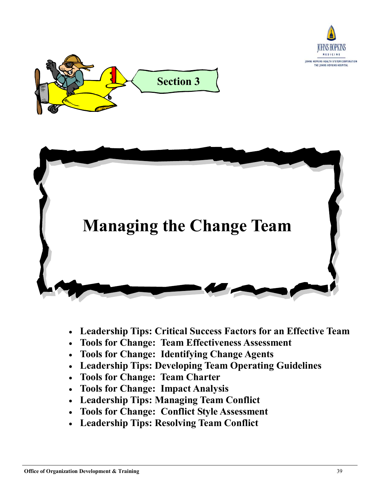





- **Leadership Tips: Critical Success Factors for an Effective Team**
- **Tools for Change: Team Effectiveness Assessment**
- **Tools for Change: Identifying Change Agents**
- **Leadership Tips: Developing Team Operating Guidelines**
- **Tools for Change: Team Charter**
- **Tools for Change: Impact Analysis**
- **Leadership Tips: Managing Team Conflict**
- **Tools for Change: Conflict Style Assessment**
- **Leadership Tips: Resolving Team Conflict**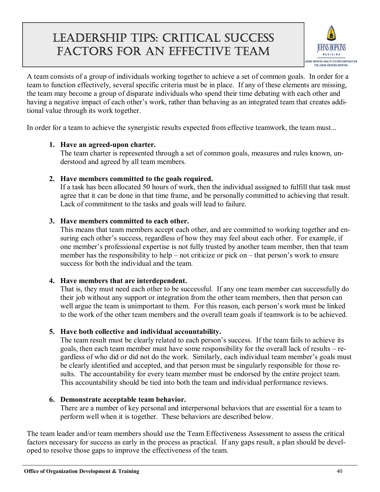### LEADERSHIP TIPS: CRITICAL SUCCESS FACTORS FOR AN EFFECTIVE TEAM



A team consists of a group of individuals working together to achieve a set of common goals. In order for a team to function effectively, several specific criteria must be in place. If any of these elements are missing, the team may become a group of disparate individuals who spend their time debating with each other and having a negative impact of each other's work, rather than behaving as an integrated team that creates additional value through its work together.

In order for a team to achieve the synergistic results expected from effective teamwork, the team must...

#### **1. Have an agreed-upon charter.**

 The team charter is represented through a set of common goals, measures and rules known, understood and agreed by all team members.

#### **2. Have members committed to the goals required.**

 If a task has been allocated 50 hours of work, then the individual assigned to fulfill that task must agree that it can be done in that time frame, and be personally committed to achieving that result. Lack of commitment to the tasks and goals will lead to failure.

#### **3. Have members committed to each other.**

 This means that team members accept each other, and are committed to working together and ensuring each other's success, regardless of how they may feel about each other. For example, if one member's professional expertise is not fully trusted by another team member, then that team member has the responsibility to help – not criticize or pick on  $-$  that person's work to ensure success for both the individual and the team.

#### **4. Have members that are interdependent.**

 That is, they must need each other to be successful. If any one team member can successfully do their job without any support or integration from the other team members, then that person can well argue the team is unimportant to them. For this reason, each person's work must be linked to the work of the other team members and the overall team goals if teamwork is to be achieved.

#### **5. Have both collective and individual accountability.**

The team result must be clearly related to each person's success. If the team fails to achieve its goals, then each team member must have some responsibility for the overall lack of results  $-$  regardless of who did or did not do the work. Similarly, each individual team member's goals must be clearly identified and accepted, and that person must be singularly responsible for those results. The accountability for every team member must be endorsed by the entire project team. This accountability should be tied into both the team and individual performance reviews.

#### **6. Demonstrate acceptable team behavior.**

 There are a number of key personal and interpersonal behaviors that are essential for a team to perform well when it is together. These behaviors are described below.

The team leader and/or team members should use the Team Effectiveness Assessment to assess the critical factors necessary for success as early in the process as practical. If any gaps result, a plan should be developed to resolve those gaps to improve the effectiveness of the team.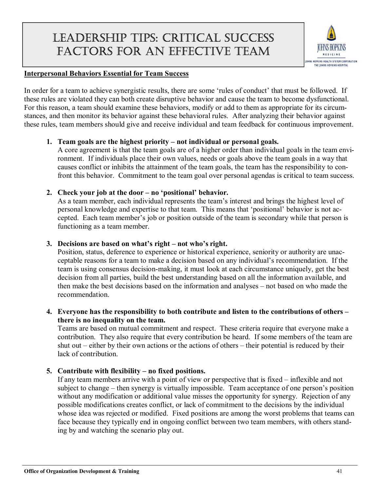### LEADERSHIP TIPS: CRITICAL SUCCESS FACTORS FOR AN EFFECTIVE TEAM



#### **Interpersonal Behaviors Essential for Team Success**

In order for a team to achieve synergistic results, there are some 'rules of conduct' that must be followed. If these rules are violated they can both create disruptive behavior and cause the team to become dysfunctional. For this reason, a team should examine these behaviors, modify or add to them as appropriate for its circumstances, and then monitor its behavior against these behavioral rules. After analyzing their behavior against these rules, team members should give and receive individual and team feedback for continuous improvement.

#### **1.** Team goals are the highest priority – not individual or personal goals.

 A core agreement is that the team goals are of a higher order than individual goals in the team environment. If individuals place their own values, needs or goals above the team goals in a way that causes conflict or inhibits the attainment of the team goals, the team has the responsibility to confront this behavior. Commitment to the team goal over personal agendas is critical to team success.

#### **2.** Check your job at the door – no 'positional' behavior.

As a team member, each individual represents the team's interest and brings the highest level of personal knowledge and expertise to that team. This means that 'positional' behavior is not accepted. Each team member's job or position outside of the team is secondary while that person is functioning as a team member.

#### **3.** Decisions are based on what's right – not who's right.

 Position, status, deference to experience or historical experience, seniority or authority are unacceptable reasons for a team to make a decision based on any individual's recommendation. If the team is using consensus decision-making, it must look at each circumstance uniquely, get the best decision from all parties, build the best understanding based on all the information available, and then make the best decisions based on the information and analyses – not based on who made the recommendation.

#### **4. Everyone has the responsibility to both contribute and listen to the contributions of others – there is no inequality on the team.**

 Teams are based on mutual commitment and respect. These criteria require that everyone make a contribution. They also require that every contribution be heard. If some members of the team are shut out  $-$  either by their own actions or the actions of others  $-$  their potential is reduced by their lack of contribution.

#### **5.** Contribute with flexibility – no fixed positions.

If any team members arrive with a point of view or perspective that is fixed  $-$  inflexible and not subject to change – then synergy is virtually impossible. Team acceptance of one person's position without any modification or additional value misses the opportunity for synergy. Rejection of any possible modifications creates conflict, or lack of commitment to the decisions by the individual whose idea was rejected or modified. Fixed positions are among the worst problems that teams can face because they typically end in ongoing conflict between two team members, with others standing by and watching the scenario play out.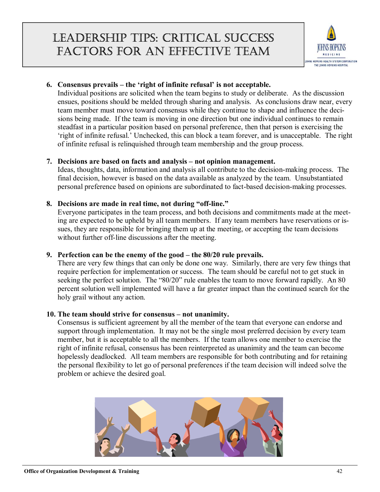### LEADERSHIP TIPS: CRITICAL SUCCESS FACTORS FOR AN EFFECTIVE TEAM



#### **6.** Consensus prevails – the 'right of infinite refusal' is not acceptable.

 Individual positions are solicited when the team begins to study or deliberate. As the discussion ensues, positions should be melded through sharing and analysis. As conclusions draw near, every team member must move toward consensus while they continue to shape and influence the decisions being made. If the team is moving in one direction but one individual continues to remain steadfast in a particular position based on personal preference, then that person is exercising the fright of infinite refusal.' Unchecked, this can block a team forever, and is unacceptable. The right of infinite refusal is relinquished through team membership and the group process.

#### **7. Decisions are based on facts and analysis – not opinion management.**

Ideas, thoughts, data, information and analysis all contribute to the decision-making process. The final decision, however is based on the data available as analyzed by the team. Unsubstantiated personal preference based on opinions are subordinated to fact-based decision-making processes.

#### **8.** Decisions are made in real time, not during "off-line."

 Everyone participates in the team process, and both decisions and commitments made at the meeting are expected to be upheld by all team members. If any team members have reservations or issues, they are responsible for bringing them up at the meeting, or accepting the team decisions without further off-line discussions after the meeting.

#### **9. Perfection can be the enemy of the good – the 80/20 rule prevails.**

 There are very few things that can only be done one way. Similarly, there are very few things that require perfection for implementation or success. The team should be careful not to get stuck in seeking the perfect solution. The "80/20" rule enables the team to move forward rapidly. An 80 percent solution well implemented will have a far greater impact than the continued search for the holy grail without any action.

#### 10. The team should strive for consensus – not unanimity.

 Consensus is sufficient agreement by all the member of the team that everyone can endorse and support through implementation. It may not be the single most preferred decision by every team member, but it is acceptable to all the members. If the team allows one member to exercise the right of infinite refusal, consensus has been reinterpreted as unanimity and the team can become hopelessly deadlocked. All team members are responsible for both contributing and for retaining the personal flexibility to let go of personal preferences if the team decision will indeed solve the problem or achieve the desired goal.

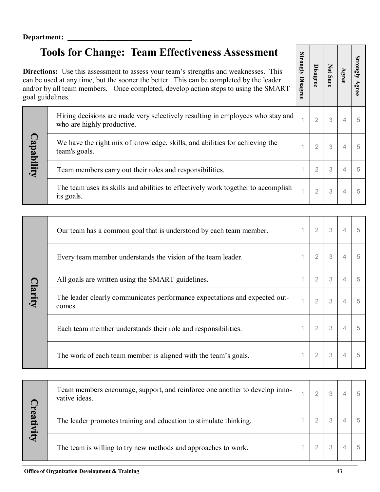### **Tools for Change: Team Effectiveness Assessment**

**Directions:** Use this assessment to assess your team's strengths and weaknesses. This can be used at any time, but the sooner the better. This can be completed by the leader and/or by all team members. Once completed, develop action steps to using the SMART goal guidelines.

|                   | Hiring decisions are made very selectively resulting in employees who stay and  <br>who are highly productive. |  |  |  |
|-------------------|----------------------------------------------------------------------------------------------------------------|--|--|--|
| <b>Capability</b> | We have the right mix of knowledge, skills, and abilities for achieving the<br>team's goals.                   |  |  |  |
|                   | Team members carry out their roles and responsibilities.                                                       |  |  |  |
|                   | The team uses its skills and abilities to effectively work together to accomplish  <br>its goals.              |  |  |  |

|         | Our team has a common goal that is understood by each team member.                   |  | $\overline{2}$ |   |  |
|---------|--------------------------------------------------------------------------------------|--|----------------|---|--|
|         | Every team member understands the vision of the team leader.                         |  |                |   |  |
|         | All goals are written using the SMART guidelines.                                    |  | $\overline{2}$ | 3 |  |
| Clarity | The leader clearly communicates performance expectations and expected out-<br>comes. |  | $\overline{2}$ | 3 |  |
|         | Each team member understands their role and responsibilities.                        |  | $\overline{2}$ |   |  |
|         | The work of each team member is aligned with the team's goals.                       |  |                |   |  |

|       | Team members encourage, support, and reinforce one another to develop inno-<br>vative ideas. |  |  |  |
|-------|----------------------------------------------------------------------------------------------|--|--|--|
| eativ | The leader promotes training and education to stimulate thinking.                            |  |  |  |
|       | The team is willing to try new methods and approaches to work.                               |  |  |  |

**Strongly Disagree** 

Strongly Disagree

**Disagree** 

**Not Sure Agree** 

Not Sure

**Strongly Agree** 

Strongly Agree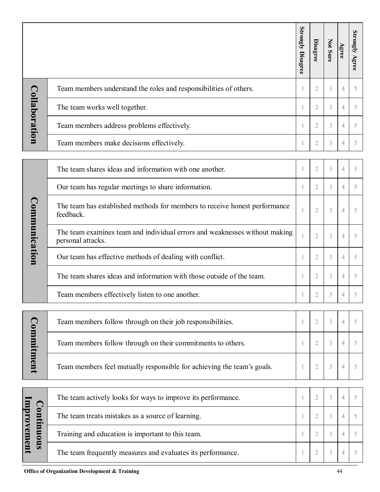|               |                                                                                                 |                                                                                         | Strongly Disagree | Disagree       | Not Sure       | Agree          | Strongly Agree |
|---------------|-------------------------------------------------------------------------------------------------|-----------------------------------------------------------------------------------------|-------------------|----------------|----------------|----------------|----------------|
|               |                                                                                                 | Team members understand the roles and responsibilities of others.                       |                   | $\overline{2}$ | 3              | $\overline{4}$ | 5              |
|               | <b>Collaboration</b>                                                                            | The team works well together.                                                           | -1                | $\overline{2}$ | 3              | $\overline{4}$ | 5              |
|               |                                                                                                 | Team members address problems effectively.                                              |                   | $\overline{2}$ | 3              | $\overline{4}$ | 5              |
|               |                                                                                                 | Team members make decisions effectively.                                                |                   | $\overline{2}$ | 3              | $\overline{4}$ | 5              |
|               |                                                                                                 | The team shares ideas and information with one another.                                 | -1                | $\mathfrak{2}$ | 3              | $\overline{4}$ | 5              |
|               |                                                                                                 | Our team has regular meetings to share information.                                     | -1                | $\mathfrak{2}$ | 3              | $\overline{4}$ | 5              |
|               |                                                                                                 | The team has established methods for members to receive honest performance<br>feedback. | -1                | $\overline{2}$ | $\mathfrak{Z}$ | $\overline{4}$ | 5              |
| Communication | The team examines team and individual errors and weaknesses without making<br>personal attacks. |                                                                                         | $\mathfrak{2}$    | 3              | $\overline{4}$ | 5              |                |
|               | Our team has effective methods of dealing with conflict.                                        |                                                                                         | $\mathfrak{2}$    | 3              | $\overline{4}$ | 5              |                |
|               | The team shares ideas and information with those outside of the team.                           | -1                                                                                      | $\overline{2}$    | 3              | $\overline{4}$ | 5              |                |
|               |                                                                                                 | Team members effectively listen to one another.                                         |                   | $\overline{2}$ | 3              | $\overline{4}$ | 5              |
|               |                                                                                                 | Team members follow through on their job responsibilities.                              |                   | $\mathfrak{2}$ | 3              | $\overline{4}$ | 5              |
|               |                                                                                                 | Team members follow through on their commitments to others.                             | -1                | 2              | 3              | $\overline{4}$ | 5              |
|               | Commitment                                                                                      | Team members feel mutually responsible for achieving the team's goals.                  | -1                | $\overline{2}$ | 3              | $\overline{4}$ |                |
|               |                                                                                                 | The team actively looks for ways to improve its performance.                            |                   | $\mathfrak{2}$ | 3              | $\overline{4}$ | 5              |
|               | mprovement<br>Continuous                                                                        | The team treats mistakes as a source of learning.                                       |                   | $\overline{2}$ | 3              | $\overline{4}$ | 5              |
|               |                                                                                                 | Training and education is important to this team.                                       |                   | $\overline{2}$ | 3              | $\overline{4}$ | 5              |
|               |                                                                                                 | The team frequently measures and evaluates its performance.                             |                   | $\overline{2}$ | 3              | $\overline{4}$ | 5              |
|               | Office of Organization Development & Training<br>44                                             |                                                                                         |                   |                |                |                |                |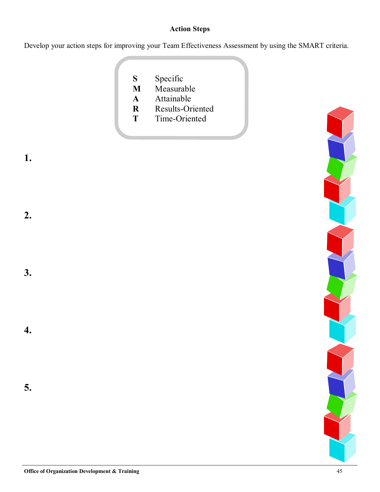#### **Action Steps**

Develop your action steps for improving your Team Effectiveness Assessment by using the SMART criteria.

- **S** Specific
- **M** Measurable
- **A** Attainable
- **R** Results-Oriented
- **T** Time-Oriented

**1.** 



**3.** 

**4.** 

**5.** 

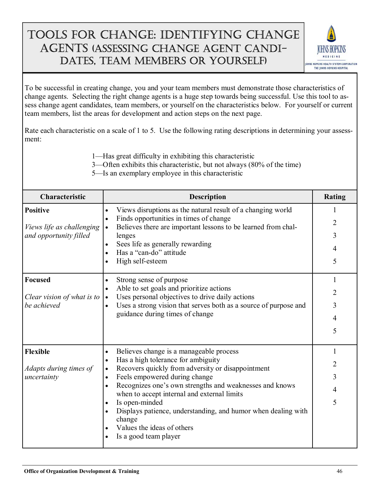### TOOLS FOR CHANGE: IDENTIFYING CHANGE AGENTS (ASSESSING CHANGE AGENT CANDI-DATES, TEAM MEMBERS OR YOURSELF)



To be successful in creating change, you and your team members must demonstrate those characteristics of change agents. Selecting the right change agents is a huge step towards being successful. Use this tool to assess change agent candidates, team members, or yourself on the characteristics below. For yourself or current team members, list the areas for development and action steps on the next page.

Rate each characteristic on a scale of 1 to 5. Use the following rating descriptions in determining your assessment:

1—Has great difficulty in exhibiting this characteristic

3—Often exhibits this characteristic, but not always (80% of the time)

5—Is an exemplary employee in this characteristic

| Characteristic             | <b>Description</b>                                                                                                   | <b>Rating</b> |
|----------------------------|----------------------------------------------------------------------------------------------------------------------|---------------|
| <b>Positive</b>            | Views disruptions as the natural result of a changing world<br>$\bullet$                                             |               |
| Views life as challenging  | Finds opportunities in times of change<br>Believes there are important lessons to be learned from chal-<br>$\bullet$ | 2             |
| and opportunity filled     | lenges                                                                                                               | 3             |
|                            | Sees life as generally rewarding<br>Has a "can-do" attitude                                                          | 4             |
|                            | High self-esteem                                                                                                     | 5             |
| <b>Focused</b>             | Strong sense of purpose<br>$\bullet$                                                                                 |               |
| Clear vision of what is to | Able to set goals and prioritize actions<br>Uses personal objectives to drive daily actions<br>$\bullet$             |               |
| be achieved                | Uses a strong vision that serves both as a source of purpose and                                                     | 3             |
|                            | guidance during times of change                                                                                      | 4             |
|                            |                                                                                                                      | 5             |
| <b>Flexible</b>            | Believes change is a manageable process                                                                              | 1             |
| Adapts during times of     | Has a high tolerance for ambiguity<br>Recovers quickly from adversity or disappointment                              | 2             |
| uncertainty                | Feels empowered during change<br>$\bullet$                                                                           | 3             |
|                            | Recognizes one's own strengths and weaknesses and knows<br>when to accept internal and external limits               |               |
|                            | Is open-minded                                                                                                       | 5             |
|                            | Displays patience, understanding, and humor when dealing with<br>change                                              |               |
|                            | Values the ideas of others                                                                                           |               |
|                            | Is a good team player                                                                                                |               |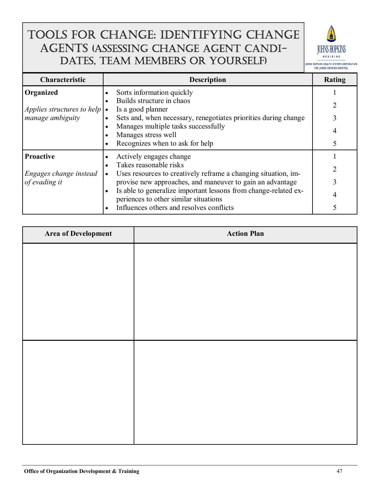### TOOLS FOR CHANGE: IDENTIFYING CHANGE AGENTS (ASSESSING CHANGE AGENT CANDI-DATES, TEAM MEMBERS OR YOURSELF)



| Characteristic                                                             | <b>Description</b>                                                                                       | Rating |
|----------------------------------------------------------------------------|----------------------------------------------------------------------------------------------------------|--------|
| Organized                                                                  | Sorts information quickly                                                                                |        |
| Applies structures to help $\bullet$                                       | Builds structure in chaos<br>Is a good planner                                                           |        |
| manage ambiguity                                                           | Sets and, when necessary, renegotiates priorities during change                                          |        |
|                                                                            | Manages multiple tasks successfully<br>Manages stress well                                               |        |
|                                                                            | Recognizes when to ask for help                                                                          |        |
| <b>Proactive</b>                                                           | Actively engages change                                                                                  |        |
| Engages change instead                                                     | Takes reasonable risks<br>Uses resources to creatively reframe a changing situation, im-                 |        |
| of evading it<br>provise new approaches, and maneuver to gain an advantage |                                                                                                          |        |
|                                                                            | Is able to generalize important lessons from change-related ex-<br>periences to other similar situations |        |
|                                                                            | Influences others and resolves conflicts                                                                 |        |

| <b>Area of Development</b> | <b>Action Plan</b> |
|----------------------------|--------------------|
|                            |                    |
|                            |                    |
|                            |                    |
|                            |                    |
|                            |                    |
|                            |                    |
|                            |                    |
|                            |                    |
|                            |                    |
|                            |                    |
|                            |                    |
|                            |                    |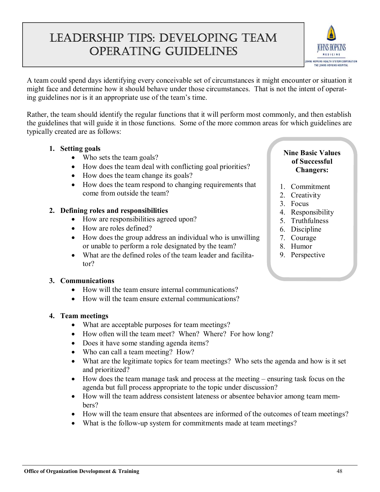### LEADERSHIP TIPS: DEVELOPING TEAM OPERATING GUIDELINES



A team could spend days identifying every conceivable set of circumstances it might encounter or situation it might face and determine how it should behave under those circumstances. That is not the intent of operating guidelines nor is it an appropriate use of the team's time.

Rather, the team should identify the regular functions that it will perform most commonly, and then establish the guidelines that will guide it in those functions. Some of the more common areas for which guidelines are typically created are as follows:

#### **1. Setting goals**

- Who sets the team goals?
- How does the team deal with conflicting goal priorities?
- How does the team change its goals?
- How does the team respond to changing requirements that come from outside the team?

#### **2. Defining roles and responsibilities**

- How are responsibilities agreed upon?
- How are roles defined?
- How does the group address an individual who is unwilling or unable to perform a role designated by the team?
- What are the defined roles of the team leader and facilitator?

#### **3. Communications**

- How will the team ensure internal communications?
- How will the team ensure external communications?

#### **4. Team meetings**

- What are acceptable purposes for team meetings?
- How often will the team meet? When? Where? For how long?
- Does it have some standing agenda items?
- Who can call a team meeting? How?
- What are the legitimate topics for team meetings? Who sets the agenda and how is it set and prioritized?
- How does the team manage task and process at the meeting  $-$  ensuring task focus on the agenda but full process appropriate to the topic under discussion?
- How will the team address consistent lateness or absentee behavior among team members?
- How will the team ensure that absentees are informed of the outcomes of team meetings?
- What is the follow-up system for commitments made at team meetings?

#### **Nine Basic Values of Successful Changers:**

- 1. Commitment
- 2. Creativity
- 3. Focus
- 4. Responsibility
- 5. Truthfulness
- 6. Discipline
- 7. Courage
- 8. Humor
- 9. Perspective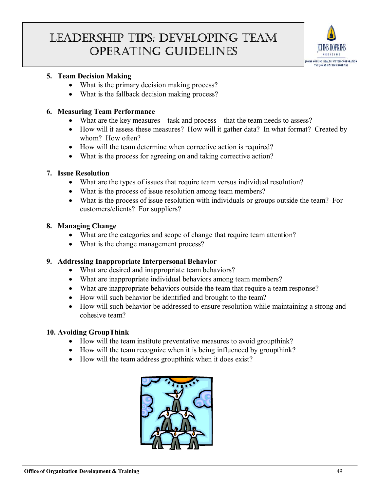### LEADERSHIP TIPS: DEVELOPING TEAM OPERATING GUIDELINES



#### **5. Team Decision Making**

- What is the primary decision making process?
- What is the fallback decision making process?

#### **6. Measuring Team Performance**

- What are the key measures  $-\$  task and process  $-\$  that the team needs to assess?
- How will it assess these measures? How will it gather data? In what format? Created by whom? How often?
- How will the team determine when corrective action is required?
- What is the process for agreeing on and taking corrective action?

#### **7. Issue Resolution**

- What are the types of issues that require team versus individual resolution?
- What is the process of issue resolution among team members?
- What is the process of issue resolution with individuals or groups outside the team? For customers/clients? For suppliers?

#### **8. Managing Change**

- What are the categories and scope of change that require team attention?
- What is the change management process?

#### **9. Addressing Inappropriate Interpersonal Behavior**

- What are desired and inappropriate team behaviors?
- What are inappropriate individual behaviors among team members?
- What are inappropriate behaviors outside the team that require a team response?
- How will such behavior be identified and brought to the team?
- How will such behavior be addressed to ensure resolution while maintaining a strong and cohesive team?

#### **10. Avoiding GroupThink**

- How will the team institute preventative measures to avoid groupthink?
- How will the team recognize when it is being influenced by groupthink?
- How will the team address groupthink when it does exist?

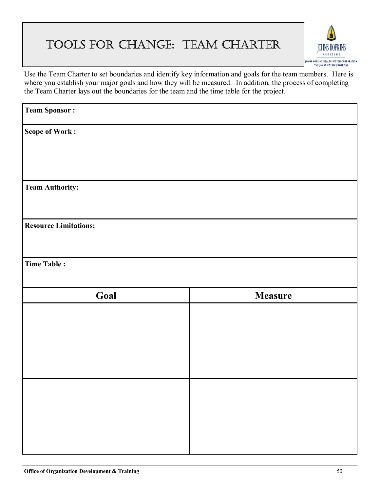# TOOLS FOR CHANGE: TEAM CHARTER



Use the Team Charter to set boundaries and identify key information and goals for the team members. Here is where you establish your major goals and how they will be measured. In addition, the process of completing the Team Charter lays out the boundaries for the team and the time table for the project.

| <b>Team Sponsor:</b>         |                |
|------------------------------|----------------|
| <b>Scope of Work:</b>        |                |
|                              |                |
|                              |                |
| <b>Team Authority:</b>       |                |
|                              |                |
| <b>Resource Limitations:</b> |                |
|                              |                |
| <b>Time Table:</b>           |                |
| Goal                         | <b>Measure</b> |
|                              |                |
|                              |                |
|                              |                |
|                              |                |
|                              |                |
|                              |                |
|                              |                |
|                              |                |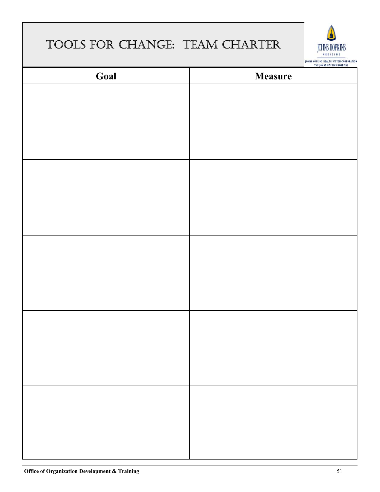# TOOLS FOR CHANGE: TEAM CHARTER



| Goal | <b>Measure</b> | THE JOHNS HOPKINS HOSPITAL |
|------|----------------|----------------------------|
|      |                |                            |
|      |                |                            |
|      |                |                            |
|      |                |                            |
|      |                |                            |
|      |                |                            |
|      |                |                            |
|      |                |                            |
|      |                |                            |
|      |                |                            |
|      |                |                            |
|      |                |                            |
|      |                |                            |
|      |                |                            |
|      |                |                            |
|      |                |                            |
|      |                |                            |
|      |                |                            |
|      |                |                            |
|      |                |                            |
|      |                |                            |
|      |                |                            |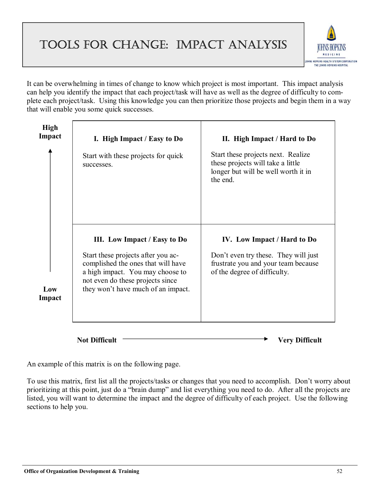# TOOLS FOR CHANGE: IMPACT ANALYSIS



It can be overwhelming in times of change to know which project is most important. This impact analysis can help you identify the impact that each project/task will have as well as the degree of difficulty to complete each project/task. Using this knowledge you can then prioritize those projects and begin them in a way that will enable you some quick successes.

| <b>High</b><br>Impact | I. High Impact / Easy to Do                                                                                                                                                                                            | II. High Impact / Hard to Do                                                                                                               |
|-----------------------|------------------------------------------------------------------------------------------------------------------------------------------------------------------------------------------------------------------------|--------------------------------------------------------------------------------------------------------------------------------------------|
|                       | Start with these projects for quick<br>successes.                                                                                                                                                                      | Start these projects next. Realize<br>these projects will take a little<br>longer but will be well worth it in<br>the end.                 |
| Low<br>Impact         | III. Low Impact / Easy to Do<br>Start these projects after you ac-<br>complished the ones that will have<br>a high impact. You may choose to<br>not even do these projects since<br>they won't have much of an impact. | IV. Low Impact / Hard to Do<br>Don't even try these. They will just<br>frustrate you and your team because<br>of the degree of difficulty. |
|                       | <b>Not Difficult</b>                                                                                                                                                                                                   | Very Difficult                                                                                                                             |

An example of this matrix is on the following page.

To use this matrix, first list all the projects/tasks or changes that you need to accomplish. Don't worry about prioritizing at this point, just do a "brain dump" and list everything you need to do. After all the projects are listed, you will want to determine the impact and the degree of difficulty of each project. Use the following sections to help you.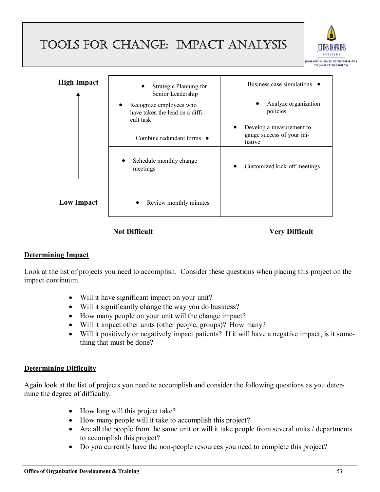## TOOLS FOR CHANGE: IMPACT ANALYSIS



| <b>High Impact</b> | Strategic Planning for<br>Senior Leadership                             | Business case simulations                                         |
|--------------------|-------------------------------------------------------------------------|-------------------------------------------------------------------|
|                    | Recognize employees who<br>have taken the lead on a diffi-<br>cult task | Analyze organization<br>policies                                  |
|                    | Combine redundant forms $\bullet$                                       | Develop a measurement to<br>gauge success of your ini-<br>tiative |
|                    | Schedule monthly change<br>٠<br>meetings                                | Customized kick-off meetings<br>$\bullet$                         |
| <b>Low Impact</b>  | Review monthly minutes                                                  |                                                                   |

**Not Difficult Very Difficult**

#### **Determining Impact**

Look at the list of projects you need to accomplish. Consider these questions when placing this project on the impact continuum.

- Will it have significant impact on your unit?
- Will it significantly change the way you do business?
- How many people on your unit will the change impact?
- Will it impact other units (other people, groups)? How many?
- Will it positively or negatively impact patients? If it will have a negative impact, is it something that must be done?

#### **Determining Difficulty**

Again look at the list of projects you need to accomplish and consider the following questions as you determine the degree of difficulty.

- How long will this project take?
- How many people will it take to accomplish this project?
- Are all the people from the same unit or will it take people from several units / departments to accomplish this project?
- Do you currently have the non-people resources you need to complete this project?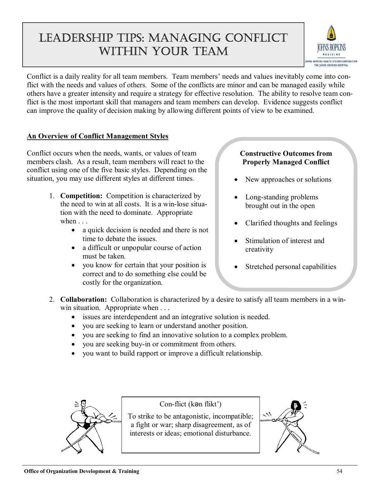### LEADERSHIP TIPS: MANAGING CONFLICT WITHIN YOUR TEAM



Conflict is a daily reality for all team members. Team members' needs and values inevitably come into conflict with the needs and values of others. Some of the conflicts are minor and can be managed easily while others have a greater intensity and require a strategy for effective resolution. The ability to resolve team conflict is the most important skill that managers and team members can develop. Evidence suggests conflict can improve the quality of decision making by allowing different points of view to be examined.

#### **An Overview of Conflict Management Styles**

Conflict occurs when the needs, wants, or values of team members clash. As a result, team members will react to the conflict using one of the five basic styles. Depending on the situation, you may use different styles at different times.

- 1. **Competition:** Competition is characterized by the need to win at all costs. It is a win-lose situation with the need to dominate. Appropriate when  $\ldots$ 
	- a quick decision is needed and there is not time to debate the issues.
	- a difficult or unpopular course of action must be taken.
	- you know for certain that your position is correct and to do something else could be costly for the organization.

#### **Constructive Outcomes from Properly Managed Conflict**

- New approaches or solutions
- Long-standing problems brought out in the open
- Clarified thoughts and feelings
- Stimulation of interest and creativity
- Stretched personal capabilities
- 2. **Collaboration:** Collaboration is characterized by a desire to satisfy all team members in a winwin situation. Appropriate when . . .
	- issues are interdependent and an integrative solution is needed.
	- you are seeking to learn or understand another position.
	- you are seeking to find an innovative solution to a complex problem.
	- you are seeking buy-in or commitment from others.
	- you want to build rapport or improve a difficult relationship.



Con-flict (kan flikt')

To strike to be antagonistic, incompatible; a fight or war; sharp disagreement, as of interests or ideas; emotional disturbance.

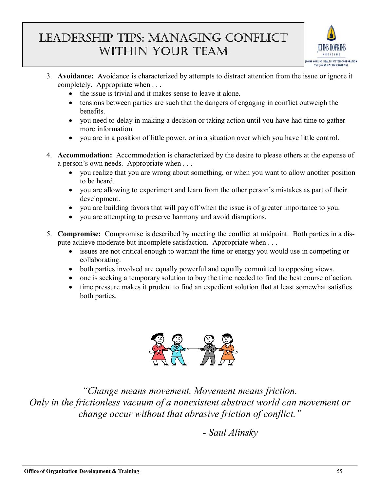### LEADERSHIP TIPS: MANAGING CONFLICT WITHIN YOUR TEAM



- 3. **Avoidance:** Avoidance is characterized by attempts to distract attention from the issue or ignore it completely. Appropriate when . . .
	- the issue is trivial and it makes sense to leave it alone.
	- tensions between parties are such that the dangers of engaging in conflict outweigh the benefits.
	- you need to delay in making a decision or taking action until you have had time to gather more information.
	- you are in a position of little power, or in a situation over which you have little control.
- 4. **Accommodation:** Accommodation is characterized by the desire to please others at the expense of a person's own needs. Appropriate when . . .
	- you realize that you are wrong about something, or when you want to allow another position to be heard.
	- you are allowing to experiment and learn from the other person's mistakes as part of their development.
	- you are building favors that will pay off when the issue is of greater importance to you.
	- you are attempting to preserve harmony and avoid disruptions.
- 5. **Compromise:** Compromise is described by meeting the conflict at midpoint. Both parties in a dispute achieve moderate but incomplete satisfaction. Appropriate when . . .
	- issues are not critical enough to warrant the time or energy you would use in competing or collaborating.
	- both parties involved are equally powerful and equally committed to opposing views.
	- one is seeking a temporary solution to buy the time needed to find the best course of action.
	- time pressure makes it prudent to find an expedient solution that at least somewhat satisfies both parties.



*ìChange means movement. Movement means friction. Only in the frictionless vacuum of a nonexistent abstract world can movement or change occur without that abrasive friction of conflict.*"

 *- Saul Alinsky*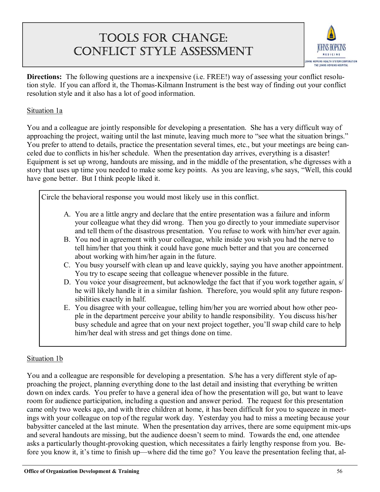

**Directions:** The following questions are a inexpensive (i.e. FREE!) way of assessing your conflict resolution style. If you can afford it, the Thomas-Kilmann Instrument is the best way of finding out your conflict resolution style and it also has a lot of good information.

#### Situation 1a

You and a colleague are jointly responsible for developing a presentation. She has a very difficult way of approaching the project, waiting until the last minute, leaving much more to "see what the situation brings." You prefer to attend to details, practice the presentation several times, etc., but your meetings are being canceled due to conflicts in his/her schedule. When the presentation day arrives, everything is a disaster! Equipment is set up wrong, handouts are missing, and in the middle of the presentation, s/he digresses with a story that uses up time you needed to make some key points. As you are leaving, s/he says, "Well, this could have gone better. But I think people liked it.

Circle the behavioral response you would most likely use in this conflict.

- A. You are a little angry and declare that the entire presentation was a failure and inform your colleague what they did wrong. Then you go directly to your immediate supervisor and tell them of the disastrous presentation. You refuse to work with him/her ever again.
- B. You nod in agreement with your colleague, while inside you wish you had the nerve to tell him/her that you think it could have gone much better and that you are concerned about working with him/her again in the future.
- C. You busy yourself with clean up and leave quickly, saying you have another appointment. You try to escape seeing that colleague whenever possible in the future.
- D. You voice your disagreement, but acknowledge the fact that if you work together again, s/ he will likely handle it in a similar fashion. Therefore, you would split any future responsibilities exactly in half.
- E. You disagree with your colleague, telling him/her you are worried about how other people in the department perceive your ability to handle responsibility. You discuss his/her busy schedule and agree that on your next project together, you'll swap child care to help him/her deal with stress and get things done on time.

#### Situation 1b

You and a colleague are responsible for developing a presentation. S/he has a very different style of approaching the project, planning everything done to the last detail and insisting that everything be written down on index cards. You prefer to have a general idea of how the presentation will go, but want to leave room for audience participation, including a question and answer period. The request for this presentation came only two weeks ago, and with three children at home, it has been difficult for you to squeeze in meetings with your colleague on top of the regular work day. Yesterday you had to miss a meeting because your babysitter canceled at the last minute. When the presentation day arrives, there are some equipment mix-ups and several handouts are missing, but the audience doesn't seem to mind. Towards the end, one attendee asks a particularly thought-provoking question, which necessitates a fairly lengthy response from you. Before you know it, it's time to finish up—where did the time go? You leave the presentation feeling that, al-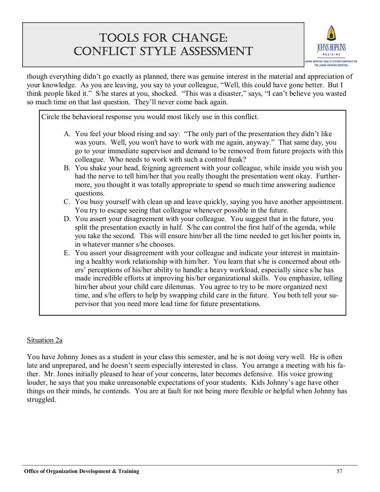

though everything didnít go exactly as planned, there was genuine interest in the material and appreciation of your knowledge. As you are leaving, you say to your colleague, "Well, this could have gone better. But I think people liked it." S/he stares at you, shocked. "This was a disaster," says, "I can't believe you wasted so much time on that last question. They'll never come back again.

Circle the behavioral response you would most likely use in this conflict.

- A. You feel your blood rising and say: "The only part of the presentation they didn't like was yours. Well, you won't have to work with me again, anyway." That same day, you go to your immediate supervisor and demand to be removed from future projects with this colleague. Who needs to work with such a control freak?
- B. You shake your head, feigning agreement with your colleague, while inside you wish you had the nerve to tell him/her that you really thought the presentation went okay. Furthermore, you thought it was totally appropriate to spend so much time answering audience questions.
- C. You busy yourself with clean up and leave quickly, saying you have another appointment. You try to escape seeing that colleague whenever possible in the future.
- D. You assert your disagreement with your colleague. You suggest that in the future, you split the presentation exactly in half. S/he can control the first half of the agenda, while you take the second. This will ensure him/her all the time needed to get his/her points in, in whatever manner s/he chooses.
- E. You assert your disagreement with your colleague and indicate your interest in maintaining a healthy work relationship with him/her. You learn that s/he is concerned about others' perceptions of his/her ability to handle a heavy workload, especially since s/he has made incredible efforts at improving his/her organizational skills. You emphasize, telling him/her about your child care dilemmas. You agree to try to be more organized next time, and s/he offers to help by swapping child care in the future. You both tell your supervisor that you need more lead time for future presentations.

#### Situation 2a

You have Johnny Jones as a student in your class this semester, and he is not doing very well. He is often late and unprepared, and he doesn't seem especially interested in class. You arrange a meeting with his father. Mr. Jones initially pleased to hear of your concerns, later becomes defensive. His voice growing louder, he says that you make unreasonable expectations of your students. Kids Johnny's age have other things on their minds, he contends. You are at fault for not being more flexible or helpful when Johnny has struggled.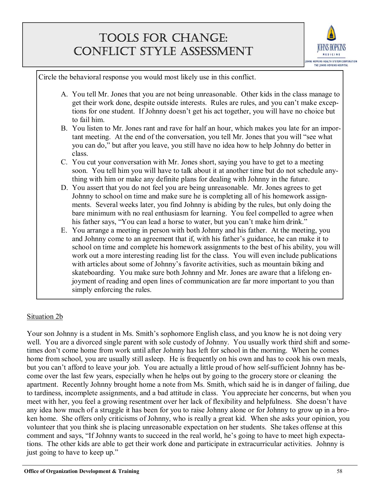

Circle the behavioral response you would most likely use in this conflict.

- A. You tell Mr. Jones that you are not being unreasonable. Other kids in the class manage to get their work done, despite outside interests. Rules are rules, and you can't make exceptions for one student. If Johnny doesn't get his act together, you will have no choice but to fail him.
- B. You listen to Mr. Jones rant and rave for half an hour, which makes you late for an important meeting. At the end of the conversation, you tell Mr. Jones that you will "see what you can do,î but after you leave, you still have no idea how to help Johnny do better in class.
- C. You cut your conversation with Mr. Jones short, saying you have to get to a meeting soon. You tell him you will have to talk about it at another time but do not schedule anything with him or make any definite plans for dealing with Johnny in the future.
- D. You assert that you do not feel you are being unreasonable. Mr. Jones agrees to get Johnny to school on time and make sure he is completing all of his homework assignments. Several weeks later, you find Johnny is abiding by the rules, but only doing the bare minimum with no real enthusiasm for learning. You feel compelled to agree when his father says, "You can lead a horse to water, but you can't make him drink."
- E. You arrange a meeting in person with both Johnny and his father. At the meeting, you and Johnny come to an agreement that if, with his father's guidance, he can make it to school on time and complete his homework assignments to the best of his ability, you will work out a more interesting reading list for the class. You will even include publications with articles about some of Johnny's favorite activities, such as mountain biking and skateboarding. You make sure both Johnny and Mr. Jones are aware that a lifelong enjoyment of reading and open lines of communication are far more important to you than simply enforcing the rules.

#### Situation 2b

Your son Johnny is a student in Ms. Smith's sophomore English class, and you know he is not doing very well. You are a divorced single parent with sole custody of Johnny. You usually work third shift and sometimes don't come home from work until after Johnny has left for school in the morning. When he comes home from school, you are usually still asleep. He is frequently on his own and has to cook his own meals, but you can't afford to leave your job. You are actually a little proud of how self-sufficient Johnny has become over the last few years, especially when he helps out by going to the grocery store or cleaning the apartment. Recently Johnny brought home a note from Ms. Smith, which said he is in danger of failing, due to tardiness, incomplete assignments, and a bad attitude in class. You appreciate her concerns, but when you meet with her, you feel a growing resentment over her lack of flexibility and helpfulness. She doesn't have any idea how much of a struggle it has been for you to raise Johnny alone or for Johnny to grow up in a broken home. She offers only criticisms of Johnny, who is really a great kid. When she asks your opinion, you volunteer that you think she is placing unreasonable expectation on her students. She takes offense at this comment and says, "If Johnny wants to succeed in the real world, he's going to have to meet high expectations. The other kids are able to get their work done and participate in extracurricular activities. Johnny is just going to have to keep up."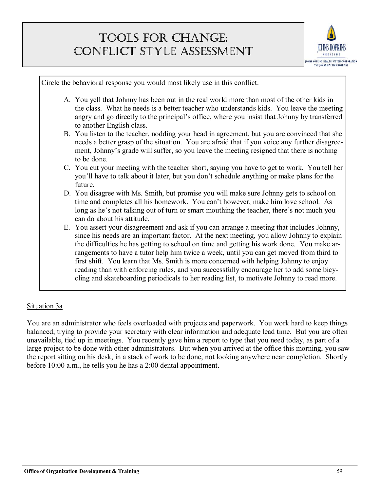

Circle the behavioral response you would most likely use in this conflict.

- A. You yell that Johnny has been out in the real world more than most of the other kids in the class. What he needs is a better teacher who understands kids. You leave the meeting angry and go directly to the principal's office, where you insist that Johnny by transferred to another English class.
- B. You listen to the teacher, nodding your head in agreement, but you are convinced that she needs a better grasp of the situation. You are afraid that if you voice any further disagreement, Johnny's grade will suffer, so you leave the meeting resigned that there is nothing to be done.
- C. You cut your meeting with the teacher short, saying you have to get to work. You tell her you'll have to talk about it later, but you don't schedule anything or make plans for the future.
- D. You disagree with Ms. Smith, but promise you will make sure Johnny gets to school on time and completes all his homework. You can't however, make him love school. As long as he's not talking out of turn or smart mouthing the teacher, there's not much you can do about his attitude.
- E. You assert your disagreement and ask if you can arrange a meeting that includes Johnny, since his needs are an important factor. At the next meeting, you allow Johnny to explain the difficulties he has getting to school on time and getting his work done. You make arrangements to have a tutor help him twice a week, until you can get moved from third to first shift. You learn that Ms. Smith is more concerned with helping Johnny to enjoy reading than with enforcing rules, and you successfully encourage her to add some bicycling and skateboarding periodicals to her reading list, to motivate Johnny to read more.

#### Situation 3a

You are an administrator who feels overloaded with projects and paperwork. You work hard to keep things balanced, trying to provide your secretary with clear information and adequate lead time. But you are often unavailable, tied up in meetings. You recently gave him a report to type that you need today, as part of a large project to be done with other administrators. But when you arrived at the office this morning, you saw the report sitting on his desk, in a stack of work to be done, not looking anywhere near completion. Shortly before 10:00 a.m., he tells you he has a 2:00 dental appointment.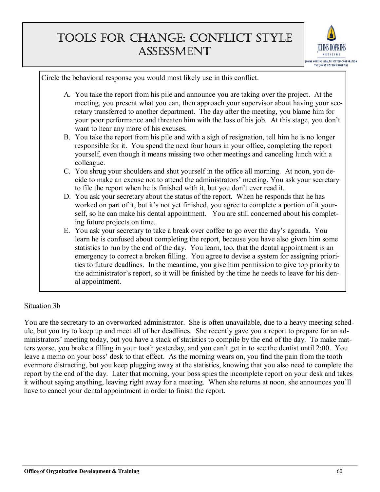

Circle the behavioral response you would most likely use in this conflict.

- A. You take the report from his pile and announce you are taking over the project. At the meeting, you present what you can, then approach your supervisor about having your secretary transferred to another department. The day after the meeting, you blame him for your poor performance and threaten him with the loss of his job. At this stage, you donít want to hear any more of his excuses.
- B. You take the report from his pile and with a sigh of resignation, tell him he is no longer responsible for it. You spend the next four hours in your office, completing the report yourself, even though it means missing two other meetings and canceling lunch with a colleague.
- C. You shrug your shoulders and shut yourself in the office all morning. At noon, you decide to make an excuse not to attend the administrators' meeting. You ask your secretary to file the report when he is finished with it, but you don't ever read it.
- D. You ask your secretary about the status of the report. When he responds that he has worked on part of it, but it's not yet finished, you agree to complete a portion of it yourself, so he can make his dental appointment. You are still concerned about his completing future projects on time.
- E. You ask your secretary to take a break over coffee to go over the dayís agenda. You learn he is confused about completing the report, because you have also given him some statistics to run by the end of the day. You learn, too, that the dental appointment is an emergency to correct a broken filling. You agree to devise a system for assigning priorities to future deadlines. In the meantime, you give him permission to give top priority to the administrator's report, so it will be finished by the time he needs to leave for his denal appointment.

#### Situation 3b

You are the secretary to an overworked administrator. She is often unavailable, due to a heavy meeting schedule, but you try to keep up and meet all of her deadlines. She recently gave you a report to prepare for an administrators' meeting today, but you have a stack of statistics to compile by the end of the day. To make matters worse, you broke a filling in your tooth yesterday, and you can't get in to see the dentist until 2:00. You leave a memo on your boss' desk to that effect. As the morning wears on, you find the pain from the tooth evermore distracting, but you keep plugging away at the statistics, knowing that you also need to complete the report by the end of the day. Later that morning, your boss spies the incomplete report on your desk and takes it without saying anything, leaving right away for a meeting. When she returns at noon, she announces you'll have to cancel your dental appointment in order to finish the report.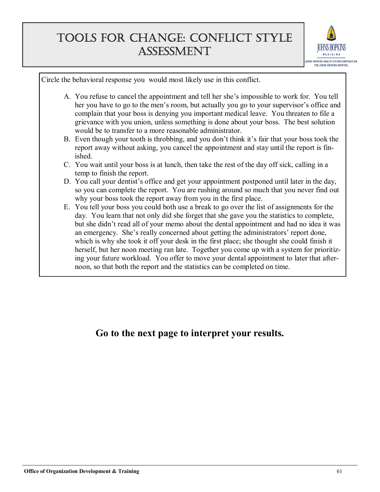

Circle the behavioral response you would most likely use in this conflict.

- A. You refuse to cancel the appointment and tell her she's impossible to work for. You tell her you have to go to the men's room, but actually you go to your supervisor's office and complain that your boss is denying you important medical leave. You threaten to file a grievance with you union, unless something is done about your boss. The best solution would be to transfer to a more reasonable administrator.
- B. Even though your tooth is throbbing, and you don't think it's fair that your boss took the report away without asking, you cancel the appointment and stay until the report is finished.
- C. You wait until your boss is at lunch, then take the rest of the day off sick, calling in a temp to finish the report.
- D. You call your dentist's office and get your appointment postponed until later in the day, so you can complete the report. You are rushing around so much that you never find out why your boss took the report away from you in the first place.
- E. You tell your boss you could both use a break to go over the list of assignments for the day. You learn that not only did she forget that she gave you the statistics to complete, but she didn't read all of your memo about the dental appointment and had no idea it was an emergency. She's really concerned about getting the administrators' report done, which is why she took it off your desk in the first place; she thought she could finish it herself, but her noon meeting ran late. Together you come up with a system for prioritizing your future workload. You offer to move your dental appointment to later that afternoon, so that both the report and the statistics can be completed on time.

**Go to the next page to interpret your results.**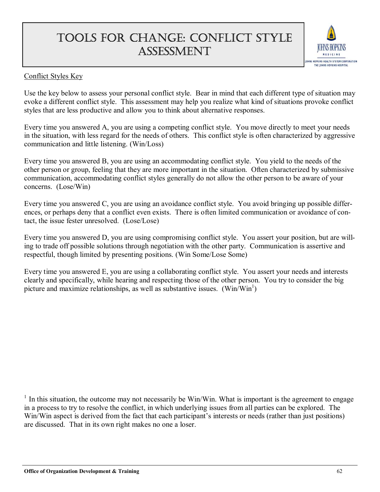

#### Conflict Styles Key

Use the key below to assess your personal conflict style. Bear in mind that each different type of situation may evoke a different conflict style. This assessment may help you realize what kind of situations provoke conflict styles that are less productive and allow you to think about alternative responses.

Every time you answered A, you are using a competing conflict style. You move directly to meet your needs in the situation, with less regard for the needs of others. This conflict style is often characterized by aggressive communication and little listening. (Win/Loss)

Every time you answered B, you are using an accommodating conflict style. You yield to the needs of the other person or group, feeling that they are more important in the situation. Often characterized by submissive communication, accommodating conflict styles generally do not allow the other person to be aware of your concerns. (Lose/Win)

Every time you answered C, you are using an avoidance conflict style. You avoid bringing up possible differences, or perhaps deny that a conflict even exists. There is often limited communication or avoidance of contact, the issue fester unresolved. (Lose/Lose)

Every time you answered D, you are using compromising conflict style. You assert your position, but are willing to trade off possible solutions through negotiation with the other party. Communication is assertive and respectful, though limited by presenting positions. (Win Some/Lose Some)

Every time you answered E, you are using a collaborating conflict style. You assert your needs and interests clearly and specifically, while hearing and respecting those of the other person. You try to consider the big picture and maximize relationships, as well as substantive issues.  $(Win\hat{W}in^1)$ 

<sup>1</sup> In this situation, the outcome may not necessarily be Win/Win. What is important is the agreement to engage in a process to try to resolve the conflict, in which underlying issues from all parties can be explored. The Win/Win aspect is derived from the fact that each participant's interests or needs (rather than just positions) are discussed. That in its own right makes no one a loser.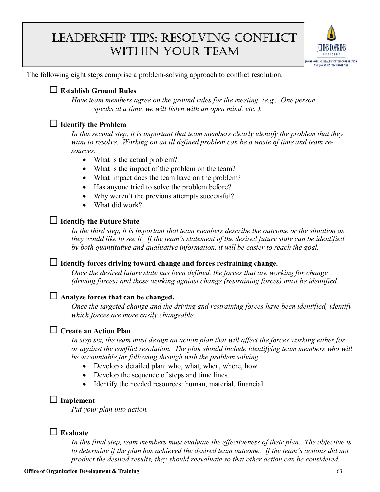### LEADERSHIP TIPS: RESOLVING CONFLICT WITHIN YOUR TEAM



The following eight steps comprise a problem-solving approach to conflict resolution.

#### □ **Establish Ground Rules**

*Have team members agree on the ground rules for the meeting (e.g., One person speaks at a time, we will listen with an open mind, etc. ).* 

#### □ **Identify the Problem**

*In this second step, it is important that team members clearly identify the problem that they want to resolve. Working on an ill defined problem can be a waste of time and team resources.* 

- What is the actual problem?
- What is the impact of the problem on the team?
- What impact does the team have on the problem?
- Has anyone tried to solve the problem before?
- Why weren't the previous attempts successful?
- What did work?

#### □ **Identify the Future State**

*In the third step, it is important that team members describe the outcome or the situation as they would like to see it. If the team's statement of the desired future state can be identified by both quantitative and qualitative information, it will be easier to reach the goal.* 

#### □ Identify forces driving toward change and forces restraining change.

*Once the desired future state has been defined, the forces that are working for change (driving forces) and those working against change (restraining forces) must be identified.* 

#### □ Analyze forces that can be changed.

*Once the targeted change and the driving and restraining forces have been identified, identify which forces are more easily changeable.* 

#### $\Box$  Create an Action Plan

*In step six, the team must design an action plan that will affect the forces working either for or against the conflict resolution. The plan should include identifying team members who will be accountable for following through with the problem solving.* 

- Develop a detailed plan: who, what, when, where, how.
- Develop the sequence of steps and time lines.
- Identify the needed resources: human, material, financial.

#### $\Box$  Implement

*Put your plan into action.* 

#### $\Box$  **Evaluate**

*In this final step, team members must evaluate the effectiveness of their plan. The objective is*  to determine if the plan has achieved the desired team outcome. If the team's actions did not *product the desired results, they should reevaluate so that other action can be considered.*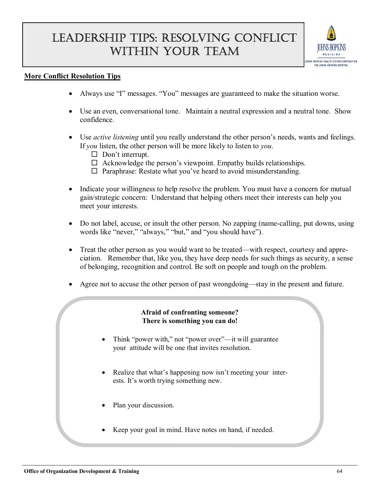### LEADERSHIP TIPS: RESOLVING CONFLICT WITHIN YOUR TEAM



#### **More Conflict Resolution Tips**

- Always use "I" messages. "You" messages are guaranteed to make the situation worse.
- Use an even, conversational tone. Maintain a neutral expression and a neutral tone. Show confidence.
- Use *active listening* until you really understand the other person's needs, wants and feelings. If *you* listen, the other person will be more likely to listen to *you*.
	- $\Box$  Don't interrupt.
	- $\Box$  Acknowledge the person's viewpoint. Empathy builds relationships.
	- $\Box$  Paraphrase: Restate what you've heard to avoid misunderstanding.
- Indicate your willingness to help resolve the problem. You must have a concern for mutual gain/strategic concern: Understand that helping others meet their interests can help you meet your interests.
- Do not label, accuse, or insult the other person. No zapping (name-calling, put downs, using words like "never," "always," "but," and "you should have").
- Treat the other person as you would want to be treated—with respect, courtesy and appreciation. Remember that, like you, they have deep needs for such things as security, a sense of belonging, recognition and control. Be soft on people and tough on the problem.
- Agree not to accuse the other person of past wrongdoing—stay in the present and future.

#### **Afraid of confronting someone? There is something you can do!**

- Think "power with," not "power over"—it will guarantee your attitude will be one that invites resolution.
- Realize that what's happening now isn't meeting your interests. It's worth trying something new.
- Plan your discussion.
- Keep your goal in mind. Have notes on hand, if needed.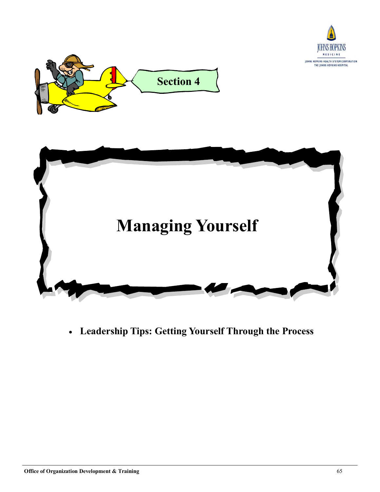





• **Leadership Tips: Getting Yourself Through the Process**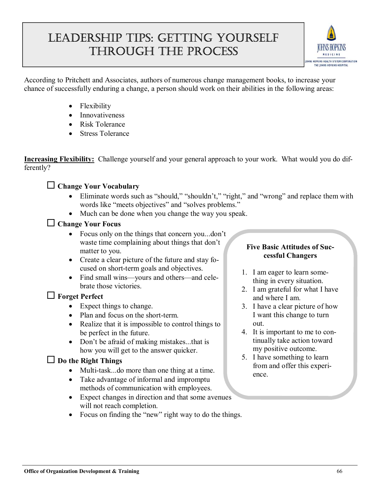### LEADERSHIP TIPS: GETTING YOURSELF THROUGH THE PROCESS



According to Pritchett and Associates, authors of numerous change management books, to increase your chance of successfully enduring a change, a person should work on their abilities in the following areas:

- Flexibility
- **Innovativeness**
- Risk Tolerance
- Stress Tolerance

**Increasing Flexibility:** Challenge yourself and your general approach to your work. What would you do differently?

#### $\Box$  Change Your Vocabulary

- Eliminate words such as "should," "shouldn't," "right," and "wrong" and replace them with words like "meets objectives" and "solves problems."
- Much can be done when you change the way you speak.

#### " **Change Your Focus**

- Focus only on the things that concern you...don't waste time complaining about things that don't matter to you.
- Create a clear picture of the future and stay focused on short-term goals and objectives.
- Find small wins—yours and others—and celebrate those victories.

#### □ Forget Perfect

- Expect things to change.
- Plan and focus on the short-term.
- Realize that it is impossible to control things to be perfect in the future.
- Don't be afraid of making mistakes...that is how you will get to the answer quicker.

#### □ Do the Right Things

- Multi-task...do more than one thing at a time.
- Take advantage of informal and impromptu methods of communication with employees.
- Expect changes in direction and that some avenues will not reach completion.
- Focus on finding the "new" right way to do the things.

#### **Five Basic Attitudes of Successful Changers**

- 1. I am eager to learn something in every situation.
- 2. I am grateful for what I have and where I am.
- 3. I have a clear picture of how I want this change to turn out.
- 4. It is important to me to continually take action toward my positive outcome.
- 5. I have something to learn from and offer this experience.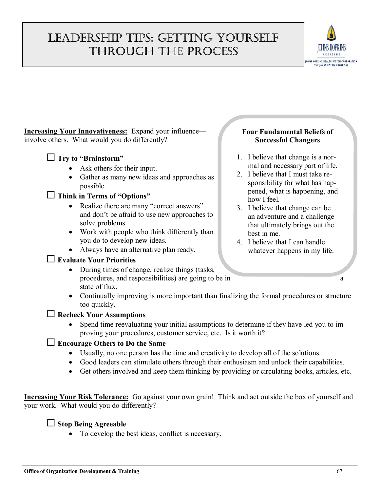### LEADERSHIP TIPS: GETTING YOURSELF THROUGH THE PROCESS



#### **Increasing Your Innovativeness:** Expand your influence involve others. What would you do differently?

#### **Try to "Brainstorm"**

- Ask others for their input.
- Gather as many new ideas and approaches as possible.

#### $\Box$  Think in Terms of "Options"

- Realize there are many "correct answers" and don't be afraid to use new approaches to solve problems.
- Work with people who think differently than you do to develop new ideas.
- Always have an alternative plan ready.

#### □ Evaluate Your Priorities

• During times of change, realize things (tasks, procedures, and responsibilities) are going to be in a state of flux.

#### **Four Fundamental Beliefs of Successful Changers**

- 1. I believe that change is a normal and necessary part of life.
- 2. I believe that I must take responsibility for what has happened, what is happening, and how I feel.
- 3. I believe that change can be an adventure and a challenge that ultimately brings out the best in me.
- 4. I believe that I can handle whatever happens in my life.

• Continually improving is more important than finalizing the formal procedures or structure too quickly.

#### □ Recheck Your Assumptions

• Spend time reevaluating your initial assumptions to determine if they have led you to improving your procedures, customer service, etc. Is it worth it?

#### $\Box$  Encourage Others to Do the Same

- Usually, no one person has the time and creativity to develop all of the solutions.
- Good leaders can stimulate others through their enthusiasm and unlock their capabilities.
- Get others involved and keep them thinking by providing or circulating books, articles, etc.

|                                           | <b>Increasing Your Risk Tolerance:</b> Go against your own grain! Think and act outside the box of yourself and |  |
|-------------------------------------------|-----------------------------------------------------------------------------------------------------------------|--|
| your work. What would you do differently? |                                                                                                                 |  |

#### $\Box$  Stop Being Agreeable

• To develop the best ideas, conflict is necessary.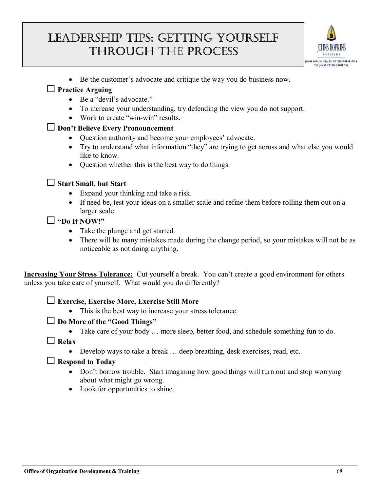### LEADERSHIP TIPS: GETTING YOURSELF THROUGH THE PROCESS



• Be the customer's advocate and critique the way you do business now.

#### $\Box$  Practice Arguing

- $\bullet$  Be a "devil's advocate."
- To increase your understanding, try defending the view you do not support.
- Work to create "win-win" results.

#### □ Don't Believe Every Pronouncement

- Question authority and become your employees' advocate.
- Try to understand what information "they" are trying to get across and what else you would like to know.
- Ouestion whether this is the best way to do things.

#### $\Box$  Start Small, but Start

- Expand your thinking and take a risk.
- If need be, test your ideas on a smaller scale and refine them before rolling them out on a larger scale.

#### $\Box$  "Do It NOW!"

- Take the plunge and get started.
- There will be many mistakes made during the change period, so your mistakes will not be as noticeable as not doing anything.

**Increasing Your Stress Tolerance:** Cut yourself a break. You can't create a good environment for others unless you take care of yourself. What would you do differently?

#### □ Exercise, Exercise More, Exercise Still More

• This is the best way to increase your stress tolerance.

#### □ **Do More of the "Good Things"**

- Take care of your body  $\ldots$  more sleep, better food, and schedule something fun to do.
- $\Box$  **Relax** 
	- Develop ways to take a break  $\ldots$  deep breathing, desk exercises, read, etc.

#### **□ Respond to Today**

- Don't borrow trouble. Start imagining how good things will turn out and stop worrying about what might go wrong.
- Look for opportunities to shine.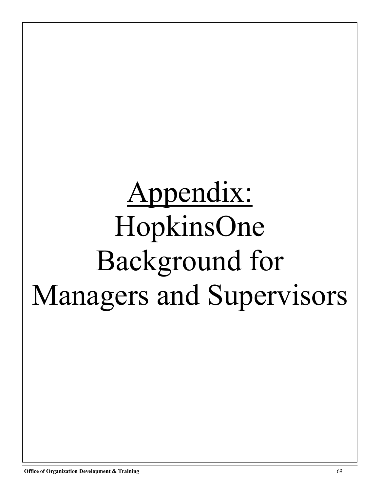# Appendix: HopkinsOne Background for Managers and Supervisors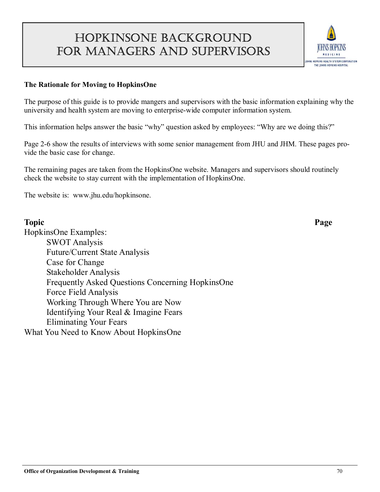### HOPKINSONE BACKGROUND FOR MANAGERS AND SUPERVISORS



#### **The Rationale for Moving to HopkinsOne**

The purpose of this guide is to provide mangers and supervisors with the basic information explaining why the university and health system are moving to enterprise-wide computer information system.

This information helps answer the basic "why" question asked by employees: "Why are we doing this?"

Page 2-6 show the results of interviews with some senior management from JHU and JHM. These pages provide the basic case for change.

The remaining pages are taken from the HopkinsOne website. Managers and supervisors should routinely check the website to stay current with the implementation of HopkinsOne.

The website is: www.jhu.edu/hopkinsone.

#### **Topic Page 2018**

HopkinsOne Examples:

 SWOT Analysis Future/Current State Analysis Case for Change Stakeholder Analysis Frequently Asked Questions Concerning HopkinsOne Force Field Analysis Working Through Where You are Now Identifying Your Real & Imagine Fears Eliminating Your Fears What You Need to Know About HopkinsOne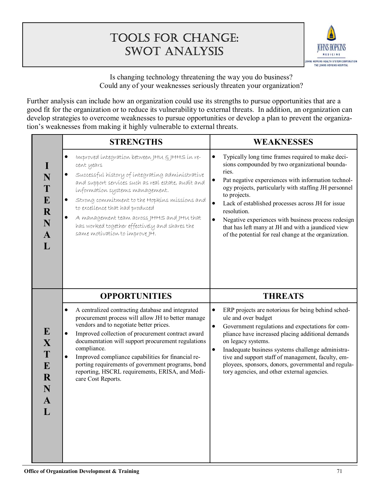### TOOLS FOR CHANGE: SWOT ANALYSIS



Is changing technology threatening the way you do business? Could any of your weaknesses seriously threaten your organization?

Further analysis can include how an organization could use its strengths to pursue opportunities that are a good fit for the organization or to reduce its vulnerability to external threats. In addition, an organization can develop strategies to overcome weaknesses to pursue opportunities or develop a plan to prevent the organization's weaknesses from making it highly vulnerable to external threats.

|                                                                      | <b>STRENGTHS</b>                                                                                                                                                                                                                                                                                                                                                                                                                                                                                        | <b>WEAKNESSES</b>                                                                                                                                                                                                                                                                                                                                                                                                                                                                                                                          |
|----------------------------------------------------------------------|---------------------------------------------------------------------------------------------------------------------------------------------------------------------------------------------------------------------------------------------------------------------------------------------------------------------------------------------------------------------------------------------------------------------------------------------------------------------------------------------------------|--------------------------------------------------------------------------------------------------------------------------------------------------------------------------------------------------------------------------------------------------------------------------------------------------------------------------------------------------------------------------------------------------------------------------------------------------------------------------------------------------------------------------------------------|
| $\bf{l}$<br>N<br>T<br>E<br>R<br>N<br>$\mathbf{A}$<br>L               | Improved integration between IHU & IHHS in re-<br>$\bullet$<br>cent years<br>Successful history of integrating administrative<br>$\bullet$<br>and support services such as real estate, audit and<br>information systems management.<br>Strong commitment to the Hopkins missions and<br>$\bullet$<br>to excellence that had produced<br>A management team across JHHS and JHU that<br>$\bullet$<br>has worked together effectively and shares the<br>same motivation to improve JH.                    | Typically long time frames required to make deci-<br>$\bullet$<br>sions compounded by two organizational bounda-<br>ries.<br>Pat negative expereiences with information technol-<br>$\bullet$<br>ogy projects, particularly with staffing JH personnel<br>to projects.<br>$\bullet$<br>Lack of established processes across JH for issue<br>resolution.<br>$\bullet$<br>Negative experiences with business process redesign<br>that has left many at JH and with a jaundiced view<br>of the potential for real change at the organization. |
|                                                                      | <b>OPPORTUNITIES</b>                                                                                                                                                                                                                                                                                                                                                                                                                                                                                    | <b>THREATS</b>                                                                                                                                                                                                                                                                                                                                                                                                                                                                                                                             |
| $\bf{E}$<br>X<br>T<br>${\bf E}$<br>R<br>N<br>$\overline{\mathbf{A}}$ | A centralized contracting database and integrated<br>$\bullet$<br>procurement process will allow JH to better manage<br>vendors and to negotiate better prices.<br>Improved collection of procurement contract award<br>$\bullet$<br>documentation will support procurement regulations<br>compliance.<br>$\bullet$<br>Improved compliance capabilities for financial re-<br>porting requirements of government programs, bond<br>reporting, HSCRL requirements, ERISA, and Medi-<br>care Cost Reports. | ERP projects are notorious for being behind sched-<br>$\bullet$<br>ule and over budget<br>$\bullet$<br>Government regulations and expectations for com-<br>pliance have increased placing additional demands<br>on legacy systems.<br>$\bullet$<br>Inadequate business systems challenge administra-<br>tive and support staff of management, faculty, em-<br>ployees, sponsors, donors, governmental and regula-<br>tory agencies, and other external agencies.                                                                           |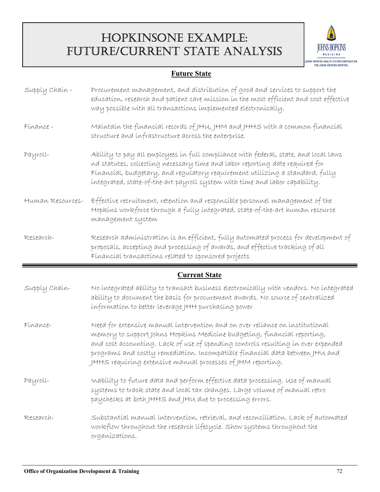### HOPKINSONE EXAMPLE: FUTURE/CURRENT STATE ANALYSIS



#### **Future State**

| Supply Chain -   | Procurement management, and distribution of good and services to support the<br>education, research and patient care mission in the most efficient and cost effective<br>way possíble with all transactions implemented electronically.                                                                                                                                                     |
|------------------|---------------------------------------------------------------------------------------------------------------------------------------------------------------------------------------------------------------------------------------------------------------------------------------------------------------------------------------------------------------------------------------------|
| Finance-         | Maíntaín the fínancíal records of JHU, JHM and JHHS with a common fínancíal<br>structure and infrastructure across the enterprise.                                                                                                                                                                                                                                                          |
| Payroll-         | Abílíty to pay all employees ín full complíance with federal, state, and local laws<br>nd statutes, collecting necessary time and labor reporting date required for<br>Financial, budgetary, and regulatory requirement utilizing a standard, fully<br>integrated, state-of-the-art payroll system with time and labor capability.                                                          |
| Human Resources- | Effective recruitment, retention and responsible personnel management of the<br>Hopkins workforce through a fully integrated, state-of-the-art human resource<br>management system                                                                                                                                                                                                          |
| Research-        | Research administration is an efficient, fully automated process for development of<br>proposals, accepting and processing of awards, and effective tracking of all<br>Fínancíal transactions related to sponsored projects                                                                                                                                                                 |
|                  |                                                                                                                                                                                                                                                                                                                                                                                             |
|                  | <b>Current State</b>                                                                                                                                                                                                                                                                                                                                                                        |
| Supply Chain-    | No integrated ability to transact business electronically with vendors. No integrated<br>ability to document the basis for procurement awards. No source of centralized<br>information to better leverage JHH purchasing power                                                                                                                                                              |
| Finance-         | Need for extensive manual intervention and on over reliance on institutional<br>memory to support Johns Hopkíns Medícíne budgeting, financial reporting,<br>and cost accounting. Lack of use of spending controls resulting in over expended<br>programs and costly remediation. Incompatible financial data between JHU and<br>JHHS requíríng extensíve manual processes of JHM reportíng. |
| Payroll-         | Inability to future data and perform effective data processing. Use of manual<br>systems to track state and local tax changes. Large volume of manual retro<br>paychecks at both JHHS and JHU due to processing errors.                                                                                                                                                                     |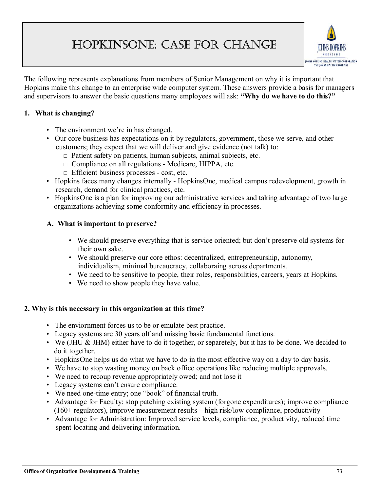# HOPKINSONE: CASE FOR CHANGE



The following represents explanations from members of Senior Management on why it is important that Hopkins make this change to an enterprise wide computer system. These answers provide a basis for managers and supervisors to answer the basic questions many employees will ask: **Why do we have to do this?**"

#### **1. What is changing?**

- The environment we're in has changed.
- Our core business has expectations on it by regulators, government, those we serve, and other customers; they expect that we will deliver and give evidence (not talk) to:
	- $\Box$  Patient safety on patients, human subjects, animal subjects, etc.
	- □ Compliance on all regulations Medicare, HIPPA, etc.
	- □ Efficient business processes cost, etc.
- Hopkins faces many changes internally HopkinsOne, medical campus redevelopment, growth in research, demand for clinical practices, etc.
- HopkinsOne is a plan for improving our administrative services and taking advantage of two large organizations achieving some conformity and efficiency in processes.

#### **A. What is important to preserve?**

- We should preserve everything that is service oriented; but don't preserve old systems for their own sake.
- We should preserve our core ethos: decentralized, entrepreneurship, autonomy, individualism, minimal bureaucracy, collaboraing across departments.
- We need to be sensitive to people, their roles, responsbilities, careers, years at Hopkins.
- We need to show people they have value.

#### **2. Why is this necessary in this organization at this time?**

- The enviornment forces us to be or emulate best practice.
- Legacy systems are 30 years olf and missing basic fundamental functions.
- We (JHU & JHM) either have to do it together, or separetely, but it has to be done. We decided to do it together.
- HopkinsOne helps us do what we have to do in the most effective way on a day to day basis.
- We have to stop wasting money on back office operations like reducing multiple approvals.
- We need to recoup revenue appropriately owed; and not lose it
- Legacy systems can't ensure compliance.
- We need one-time entry; one "book" of financial truth.
- Advantage for Faculty: stop patching existing system (forgone expenditures); improve compliance  $(160+$  regulators), improve measurement results—high risk/low compliance, productivity
- Advantage for Administration: Improved service levels, compliance, productivity, reduced time spent locating and delivering information.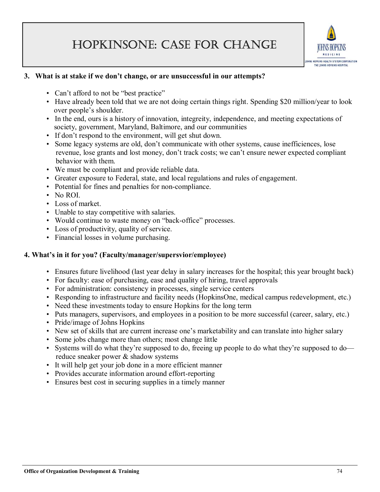# HOPKINSONE: CASE FOR CHANGE



#### **3.** What is at stake if we don't change, or are unsuccessful in our attempts?

- Can't afford to not be "best practice"
- Have already been told that we are not doing certain things right. Spending \$20 million/year to look over people's shoulder.
- In the end, ours is a history of innovation, integreity, independence, and meeting expectations of society, government, Maryland, Baltimore, and our communities
- If don't respond to the environment, will get shut down.
- Some legacy systems are old, don't communicate with other systems, cause inefficiences, lose revenue, lose grants and lost money, don't track costs; we can't ensure newer expected compliant behavior with them.
- We must be compliant and provide reliable data.
- ï Greater exposure to Federal, state, and local regulations and rules of engagement.
- Potential for fines and penalties for non-compliance.
- No ROI.
- Loss of market.
- Unable to stay competitive with salaries.
- Would continue to waste money on "back-office" processes.
- Loss of productivity, quality of service.
- Financial losses in volume purchasing.

#### **4. Whatís in it for you? (Faculty/manager/supersvior/employee)**

- Ensures future livelihood (last year delay in salary increases for the hospital; this year brought back)
- For faculty: ease of purchasing, ease and quality of hiring, travel approvals
- For administration: consistency in processes, single service centers
- Responding to infrastructure and facility needs (HopkinsOne, medical campus redevelopment, etc.)
- Need these investments today to ensure Hopkins for the long term
- Puts managers, supervisors, and employees in a position to be more successful (career, salary, etc.)
- Pride/image of Johns Hopkins
- New set of skills that are current increase one's marketability and can translate into higher salary
- Some jobs change more than others; most change little
- Systems will do what they're supposed to do, freeing up people to do what they're supposed to do reduce sneaker power & shadow systems
- It will help get your job done in a more efficient manner
- Provides accurate information around effort-reporting
- Ensures best cost in securing supplies in a timely manner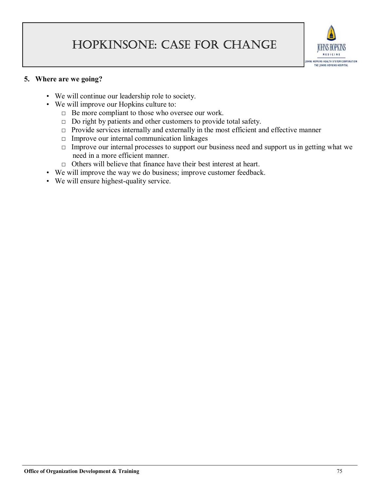# HOPKINSONE: CASE FOR CHANGE



#### **5. Where are we going?**

- We will continue our leadership role to society.
- We will improve our Hopkins culture to:
	- □ Be more compliant to those who oversee our work.
	- $\Box$  Do right by patients and other customers to provide total safety.
	- □ Provide services internally and externally in the most efficient and effective manner
	- $\Box$  Improve our internal communication linkages
	- $\Box$  Improve our internal processes to support our business need and support us in getting what we need in a more efficient manner.
	- $\Box$  Others will believe that finance have their best interest at heart.
- We will improve the way we do business; improve customer feedback.
- We will ensure highest-quality service.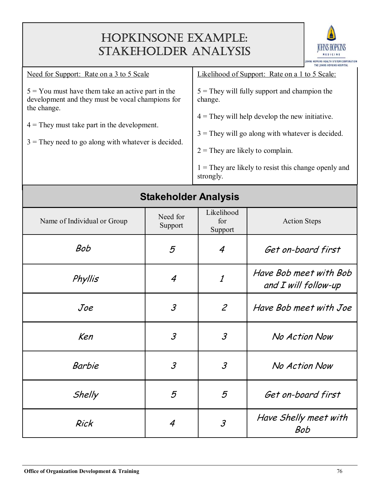### HOPKINSONE EXAMPLE: STAKEHOLDER ANALYSIS



| Need for Support: Rate on a 3 to 5 Scale                                                                               | Likelihood of Support: Rate on a 1 to 5 Scale:                      |
|------------------------------------------------------------------------------------------------------------------------|---------------------------------------------------------------------|
| $5 =$ You must have them take an active part in the<br>development and they must be vocal champions for<br>the change. | $5 =$ They will fully support and champion the<br>change.           |
|                                                                                                                        | $4 =$ They will help develop the new initiative.                    |
| $4 =$ They must take part in the development.                                                                          | $3$ = They will go along with whatever is decided.                  |
| $3$ = They need to go along with whatever is decided.                                                                  |                                                                     |
|                                                                                                                        | $2 =$ They are likely to complain.                                  |
|                                                                                                                        | $1 =$ They are likely to resist this change openly and<br>strongly. |

### **Stakeholder Analysis**

| Name of Individual or Group | Need for<br>Support | Likelihood<br>for<br>Support | <b>Action Steps</b>                            |
|-----------------------------|---------------------|------------------------------|------------------------------------------------|
| Bob                         | 5                   | 4                            | Get on-board first                             |
| Phyllis                     | $\boldsymbol{4}$    | $\boldsymbol{\it 1}$         | Have Bob meet with Bob<br>and I will follow-up |
| Joe                         | $\mathfrak{Z}$      | $\mathcal{Z}$                | Have Bob meet with Joe                         |
| Ken                         | $\mathcal{S}$       | $\mathcal{S}$                | No Action Now                                  |
| Barbie                      | $\mathcal{S}$       | $\mathcal{S}$                | No Action Now                                  |
| Shelly                      | 5                   | 5                            | Get on-board first                             |
| <b>Rick</b>                 | $\overline{4}$      | $\mathcal{S}$                | Have Shelly meet with<br>Bob                   |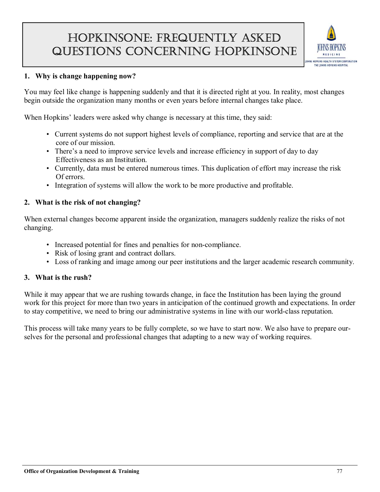## HOPKINSONE: FREQUENTLY ASKED QUESTIONS CONCERNING HOPKINSONE



#### **1. Why is change happening now?**

You may feel like change is happening suddenly and that it is directed right at you. In reality, most changes begin outside the organization many months or even years before internal changes take place.

When Hopkins' leaders were asked why change is necessary at this time, they said:

- Current systems do not support highest levels of compliance, reporting and service that are at the core of our mission.
- There's a need to improve service levels and increase efficiency in support of day to day Effectiveness as an Institution.
- Currently, data must be entered numerous times. This duplication of effort may increase the risk Of errors.
- Integration of systems will allow the work to be more productive and profitable.

#### **2. What is the risk of not changing?**

When external changes become apparent inside the organization, managers suddenly realize the risks of not changing.

- Increased potential for fines and penalties for non-compliance.
- Risk of losing grant and contract dollars.
- ï Loss of ranking and image among our peer institutions and the larger academic research community.

#### **3. What is the rush?**

While it may appear that we are rushing towards change, in face the Institution has been laying the ground work for this project for more than two years in anticipation of the continued growth and expectations. In order to stay competitive, we need to bring our administrative systems in line with our world-class reputation.

This process will take many years to be fully complete, so we have to start now. We also have to prepare ourselves for the personal and professional changes that adapting to a new way of working requires.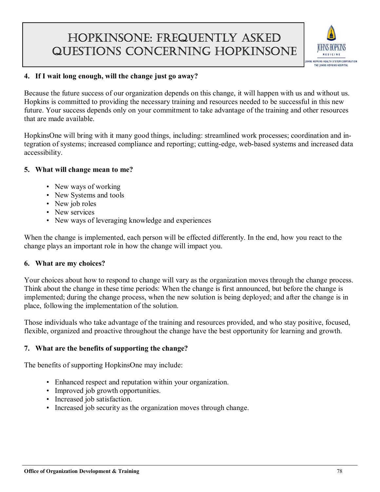## HOPKINSONE: FREQUENTLY ASKED QUESTIONS CONCERNING HOPKINSONE



#### **4. If I wait long enough, will the change just go away?**

Because the future success of our organization depends on this change, it will happen with us and without us. Hopkins is committed to providing the necessary training and resources needed to be successful in this new future. Your success depends only on your commitment to take advantage of the training and other resources that are made available.

HopkinsOne will bring with it many good things, including: streamlined work processes; coordination and integration of systems; increased compliance and reporting; cutting-edge, web-based systems and increased data accessibility.

#### **5. What will change mean to me?**

- New ways of working
- New Systems and tools
- New job roles
- New services
- New ways of leveraging knowledge and experiences

When the change is implemented, each person will be effected differently. In the end, how you react to the change plays an important role in how the change will impact you.

#### **6. What are my choices?**

Your choices about how to respond to change will vary as the organization moves through the change process. Think about the change in these time periods: When the change is first announced, but before the change is implemented; during the change process, when the new solution is being deployed; and after the change is in place, following the implementation of the solution.

Those individuals who take advantage of the training and resources provided, and who stay positive, focused, flexible, organized and proactive throughout the change have the best opportunity for learning and growth.

#### **7. What are the benefits of supporting the change?**

The benefits of supporting HopkinsOne may include:

- Enhanced respect and reputation within your organization.
- Improved job growth opportunities.
- Increased job satisfaction.
- Increased job security as the organization moves through change.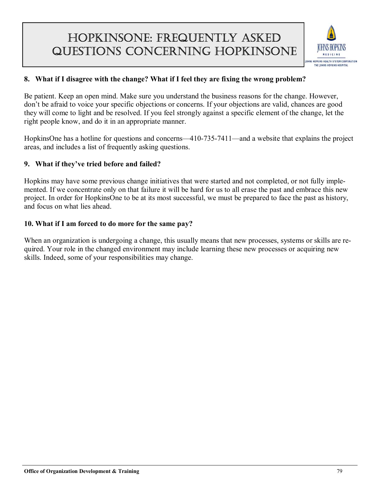## HOPKINSONE: FREQUENTLY ASKED QUESTIONS CONCERNING HOPKINSONE



#### **8. What if I disagree with the change? What if I feel they are fixing the wrong problem?**

Be patient. Keep an open mind. Make sure you understand the business reasons for the change. However, don't be afraid to voice your specific objections or concerns. If your objections are valid, chances are good they will come to light and be resolved. If you feel strongly against a specific element of the change, let the right people know, and do it in an appropriate manner.

HopkinsOne has a hotline for questions and concerns—410-735-7411—and a website that explains the project areas, and includes a list of frequently asking questions.

#### **9.** What if they've tried before and failed?

Hopkins may have some previous change initiatives that were started and not completed, or not fully implemented. If we concentrate only on that failure it will be hard for us to all erase the past and embrace this new project. In order for HopkinsOne to be at its most successful, we must be prepared to face the past as history, and focus on what lies ahead.

#### **10. What if I am forced to do more for the same pay?**

When an organization is undergoing a change, this usually means that new processes, systems or skills are required. Your role in the changed environment may include learning these new processes or acquiring new skills. Indeed, some of your responsibilities may change.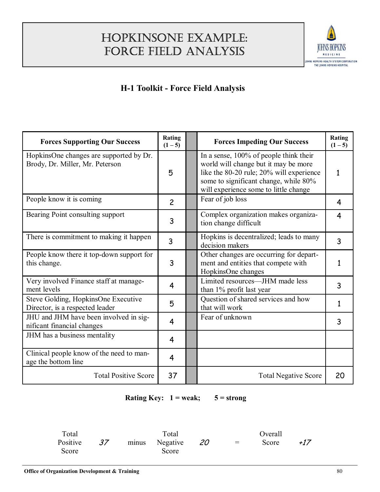### HOPKINSONE EXAMPLE: FORCE FIELD ANALYSIS



### **H-1 Toolkit - Force Field Analysis**

| <b>Forces Supporting Our Success</b>                                       | Rating<br>$(1-5)$ | <b>Forces Impeding Our Success</b>                                                                                                                                                                           | Rating<br>$(1 - 5)$ |
|----------------------------------------------------------------------------|-------------------|--------------------------------------------------------------------------------------------------------------------------------------------------------------------------------------------------------------|---------------------|
| HopkinsOne changes are supported by Dr.<br>Brody, Dr. Miller, Mr. Peterson | 5                 | In a sense, 100% of people think their<br>world will change but it may be more<br>like the 80-20 rule; 20% will experience<br>some to significant change, while 80%<br>will experience some to little change | 1                   |
| People know it is coming                                                   | $\overline{c}$    | Fear of job loss                                                                                                                                                                                             | 4                   |
| Bearing Point consulting support                                           | 3                 | Complex organization makes organiza-<br>tion change difficult                                                                                                                                                | 4                   |
| There is commitment to making it happen                                    | $\overline{3}$    | Hopkins is decentralized; leads to many<br>decision makers                                                                                                                                                   | 3                   |
| People know there it top-down support for<br>this change.                  | 3                 | Other changes are occurring for depart-<br>ment and entities that compete with<br>HopkinsOne changes                                                                                                         | 1                   |
| Very involved Finance staff at manage-<br>ment levels                      | 4                 | Limited resources—JHM made less<br>than 1% profit last year                                                                                                                                                  | 3                   |
| Steve Golding, HopkinsOne Executive<br>Director, is a respected leader     | 5                 | Question of shared services and how<br>that will work                                                                                                                                                        | $\mathbf{1}$        |
| JHU and JHM have been involved in sig-<br>nificant financial changes       | 4                 | Fear of unknown                                                                                                                                                                                              | 3                   |
| JHM has a business mentality                                               | 4                 |                                                                                                                                                                                                              |                     |
| Clinical people know of the need to man-<br>age the bottom line            | 4                 |                                                                                                                                                                                                              |                     |
| <b>Total Positive Score</b>                                                | 37                | <b>Total Negative Score</b>                                                                                                                                                                                  | 20                  |

**Rating Key: 1 = weak; 5 = strong** 

Total Positive Score 37 minus Total Negative Score  $20 =$ Overall Score  $+17$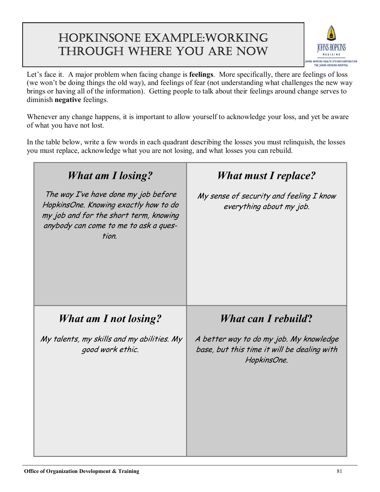## HOPKINSONE EXAMPLE:WORKING THROUGH WHERE YOU ARE NOW



Let's face it. A major problem when facing change is **feelings**. More specifically, there are feelings of loss (we won't be doing things the old way), and feelings of fear (not understanding what challenges the new way brings or having all of the information). Getting people to talk about their feelings around change serves to diminish **negative** feelings.

Whenever any change happens, it is important to allow yourself to acknowledge your loss, and yet be aware of what you have not lost.

In the table below, write a few words in each quadrant describing the losses you must relinquish, the losses you must replace, acknowledge what you are not losing, and what losses you can rebuild.

| What am I losing?                                                                                                                                                         | <b>What must I replace?</b>                                                                           |
|---------------------------------------------------------------------------------------------------------------------------------------------------------------------------|-------------------------------------------------------------------------------------------------------|
| The way I've have done my job before<br>HopkinsOne. Knowing exactly how to do<br>my job and for the short term, knowing<br>anybody can come to me to ask a ques-<br>tion. | My sense of security and feeling I know<br>everything about my job.                                   |
| What am I not losing?                                                                                                                                                     | What can I rebuild?                                                                                   |
| My talents, my skills and my abilities. My<br>good work ethic.                                                                                                            | A better way to do my job. My knowledge<br>base, but this time it will be dealing with<br>HopkinsOne. |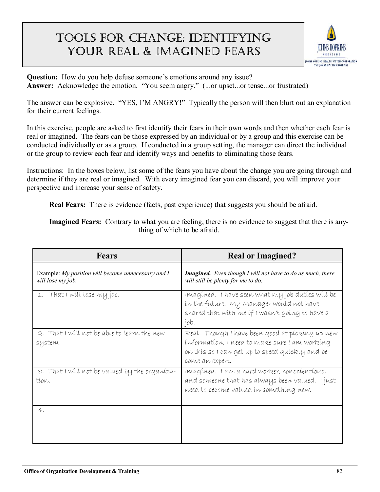## TOOLS FOR CHANGE: IDENTIFYING YOUR REAL & IMAGINED FEARS



**Question:** How do you help defuse someone's emotions around any issue? Answer: Acknowledge the emotion. "You seem angry." (...or upset...or tense...or frustrated)

The answer can be explosive. "YES, I'M ANGRY!" Typically the person will then blurt out an explanation for their current feelings.

In this exercise, people are asked to first identify their fears in their own words and then whether each fear is real or imagined. The fears can be those expressed by an individual or by a group and this exercise can be conducted individually or as a group. If conducted in a group setting, the manager can direct the individual or the group to review each fear and identify ways and benefits to eliminating those fears.

Instructions: In the boxes below, list some of the fears you have about the change you are going through and determine if they are real or imagined. With every imagined fear you can discard, you will improve your perspective and increase your sense of safety.

**Real Fears:** There is evidence (facts, past experience) that suggests you should be afraid.

**Imagined Fears:** Contrary to what you are feeling, there is no evidence to suggest that there is anything of which to be afraid.

| Fears                                                                   | <b>Real or Imagined?</b>                                                                                                                                                |
|-------------------------------------------------------------------------|-------------------------------------------------------------------------------------------------------------------------------------------------------------------------|
| Example: My position will become unnecessary and I<br>will lose my job. | <b>Imagined.</b> Even though I will not have to do as much, there<br>will still be plenty for me to do.                                                                 |
| That I will lose my job.<br>1.                                          | Imagined. I have seen what my job duties will be<br>in the future. My Manager would not have<br>shared that with me if I wasn't going to have a<br>10b.                 |
| 2. That I will not be able to learn the new<br>system.                  | Real. Though I have been good at picking up new<br>information, I need to make sure I am working<br>on this so I can get up to speed quickly and be-<br>come an expert. |
| 3. That I will not be valued by the organiza-<br>tion.                  | Imagined. I am a hard worker, conscientious,<br>and someone that has always been valued. I just<br>need to become valued in something new.                              |
| 4.                                                                      |                                                                                                                                                                         |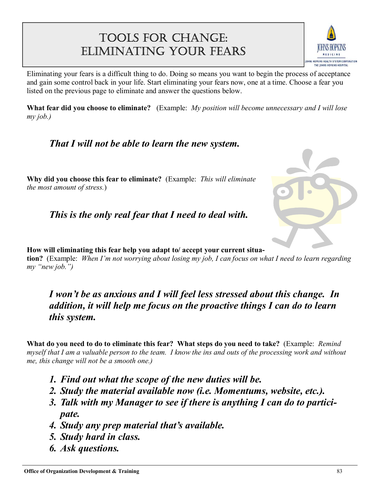## TOOLS FOR CHANGE: ELIMINATING YOUR FEARS



Eliminating your fears is a difficult thing to do. Doing so means you want to begin the process of acceptance and gain some control back in your life. Start eliminating your fears now, one at a time. Choose a fear you listed on the previous page to eliminate and answer the questions below.

**What fear did you choose to eliminate?** (Example: *My position will become unnecessary and I will lose my job.)* 

### *That I will not be able to learn the new system.*

**Why did you choose this fear to eliminate?** (Example: *This will eliminate the most amount of stress.*)

*This is the only real fear that I need to deal with.* 



**How will eliminating this fear help you adapt to/ accept your current situation?** (Example: *When Iím not worrying about losing my job, I can focus on what I need to learn regarding*   $mv$  "*new job.*")

*I* won't be as anxious and *I* will feel less stressed about this change. In *addition, it will help me focus on the proactive things I can do to learn this system.* 

**What do you need to do to eliminate this fear? What steps do you need to take?** (Example: *Remind myself that I am a valuable person to the team. I know the ins and outs of the processing work and without me, this change will not be a smooth one.)* 

- *1. Find out what the scope of the new duties will be.*
- *2. Study the material available now (i.e. Momentums, website, etc.).*
- *3. Talk with my Manager to see if there is anything I can do to participate.*
- 4. Study any prep material that's available.
- *5. Study hard in class.*
- *6. Ask questions.*